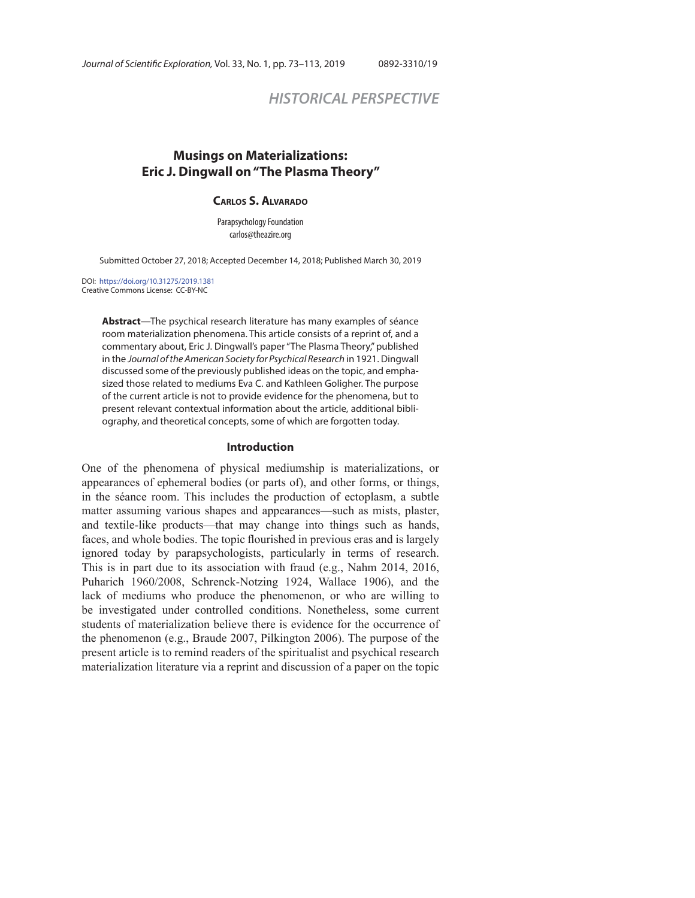# *HISTORICAL PERSPECTIVE*

## **Musings on Materializations: Eric J. Dingwall on "The Plasma Theory"**

#### **CARLOS S. ALVARADO**

Parapsychology Foundation carlos@theazire.org

Submitted October 27, 2018; Accepted December 14, 2018; Published March 30, 2019

DOI: https://doi.org/10.31275/2019.1381 Creative Commons License: CC-BY-NC

> **Abstract**—The psychical research literature has many examples of séance room materialization phenomena. This article consists of a reprint of, and a commentary about, Eric J. Dingwall's paper "The Plasma Theory," published in the Journal of the American Society for Psychical Research in 1921. Dingwall discussed some of the previously published ideas on the topic, and emphasized those related to mediums Eva C. and Kathleen Goligher. The purpose of the current article is not to provide evidence for the phenomena, but to present relevant contextual information about the article, additional bibliography, and theoretical concepts, some of which are forgotten today.

#### **Introduction**

One of the phenomena of physical mediumship is materializations, or appearances of ephemeral bodies (or parts of), and other forms, or things, in the séance room. This includes the production of ectoplasm, a subtle matter assuming various shapes and appearances—such as mists, plaster, and textile-like products—that may change into things such as hands, faces, and whole bodies. The topic flourished in previous eras and is largely ignored today by parapsychologists, particularly in terms of research. This is in part due to its association with fraud (e.g., Nahm 2014, 2016, Puharich 1960/2008, Schrenck-Notzing 1924, Wallace 1906), and the lack of mediums who produce the phenomenon, or who are willing to be investigated under controlled conditions. Nonetheless, some current students of materialization believe there is evidence for the occurrence of the phenomenon (e.g., Braude 2007, Pilkington 2006). The purpose of the present article is to remind readers of the spiritualist and psychical research materialization literature via a reprint and discussion of a paper on the topic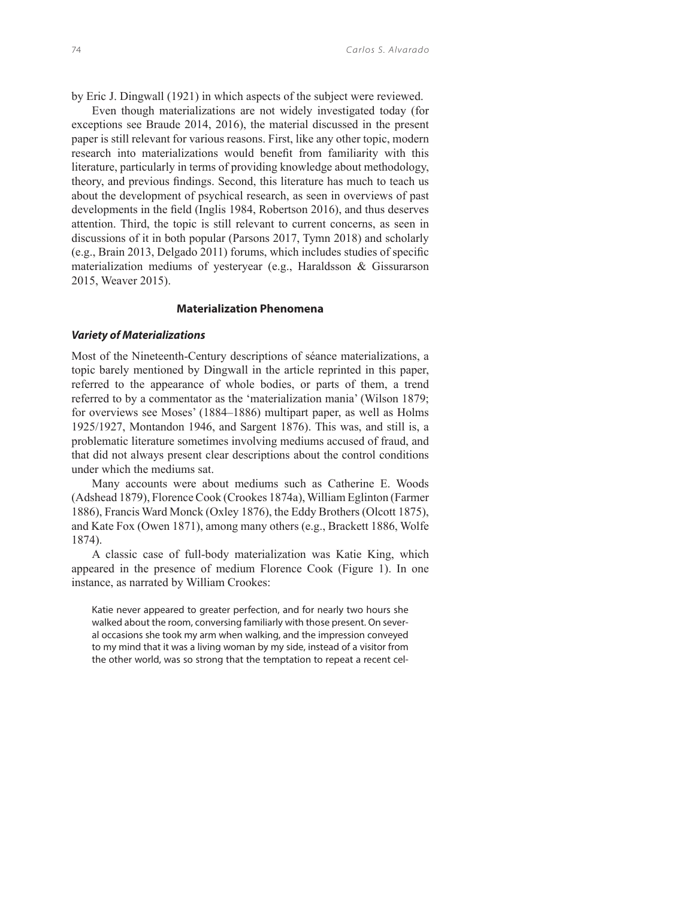by Eric J. Dingwall (1921) in which aspects of the subject were reviewed.

Even though materializations are not widely investigated today (for exceptions see Braude 2014, 2016), the material discussed in the present paper is still relevant for various reasons. First, like any other topic, modern research into materializations would benefit from familiarity with this literature, particularly in terms of providing knowledge about methodology, theory, and previous findings. Second, this literature has much to teach us about the development of psychical research, as seen in overviews of past developments in the field (Inglis 1984, Robertson 2016), and thus deserves attention. Third, the topic is still relevant to current concerns, as seen in discussions of it in both popular (Parsons 2017, Tymn 2018) and scholarly  $(e.g., Brain 2013, Delgado 2011)$  forums, which includes studies of specific materialization mediums of yesteryear (e.g., Haraldsson & Gissurarson 2015, Weaver 2015).

## **Materialization Phenomena**

#### *Variety of Materializations*

Most of the Nineteenth-Century descriptions of séance materializations, a topic barely mentioned by Dingwall in the article reprinted in this paper, referred to the appearance of whole bodies, or parts of them, a trend referred to by a commentator as the 'materialization mania' (Wilson 1879; for overviews see Moses' (1884–1886) multipart paper, as well as Holms 1925/1927, Montandon 1946, and Sargent 1876). This was, and still is, a problematic literature sometimes involving mediums accused of fraud, and that did not always present clear descriptions about the control conditions under which the mediums sat.

Many accounts were about mediums such as Catherine E. Woods (Adshead 1879), Florence Cook (Crookes 1874a), William Eglinton (Farmer 1886), Francis Ward Monck (Oxley 1876), the Eddy Brothers (Olcott 1875), and Kate Fox (Owen 1871), among many others (e.g., Brackett 1886, Wolfe 1874).

A classic case of full-body materialization was Katie King, which appeared in the presence of medium Florence Cook (Figure 1). In one instance, as narrated by William Crookes:

Katie never appeared to greater perfection, and for nearly two hours she walked about the room, conversing familiarly with those present. On several occasions she took my arm when walking, and the impression conveyed to my mind that it was a living woman by my side, instead of a visitor from the other world, was so strong that the temptation to repeat a recent cel-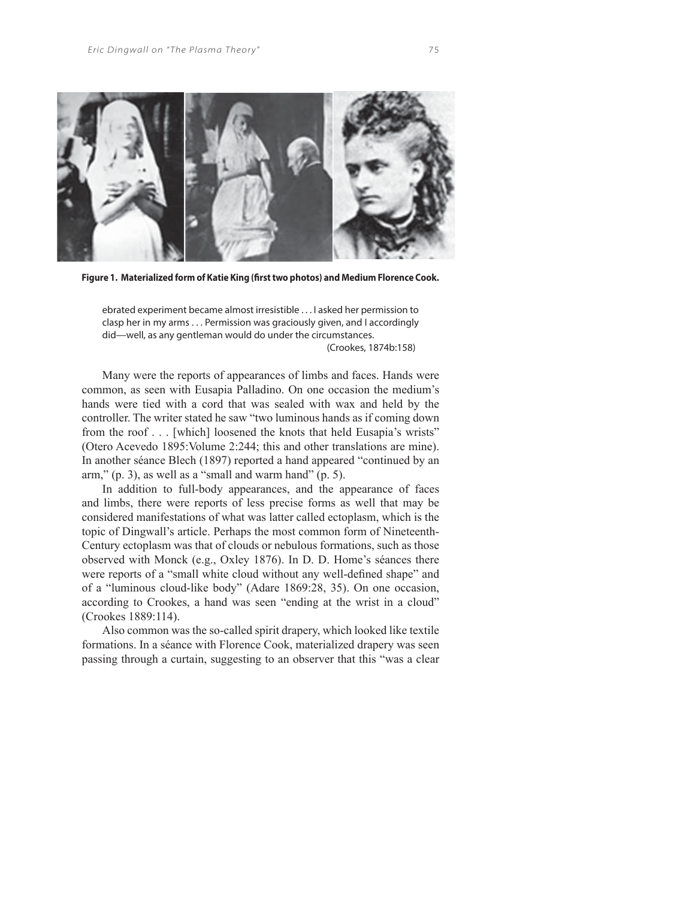

Figure 1. Materialized form of Katie King (first two photos) and Medium Florence Cook.

ebrated experiment became almost irresistible . . . I asked her permission to clasp her in my arms . . . Permission was graciously given, and I accordingly did—well, as any gentleman would do under the circumstances. (Crookes, 1874b:158)

Many were the reports of appearances of limbs and faces. Hands were common, as seen with Eusapia Palladino. On one occasion the medium's hands were tied with a cord that was sealed with wax and held by the controller. The writer stated he saw "two luminous hands as if coming down from the roof . . . [which] loosened the knots that held Eusapia's wrists" (Otero Acevedo 1895:Volume 2:244; this and other translations are mine). In another séance Blech (1897) reported a hand appeared "continued by an arm,"  $(p. 3)$ , as well as a "small and warm hand"  $(p. 5)$ .

In addition to full-body appearances, and the appearance of faces and limbs, there were reports of less precise forms as well that may be considered manifestations of what was latter called ectoplasm, which is the topic of Dingwall's article. Perhaps the most common form of Nineteenth-Century ectoplasm was that of clouds or nebulous formations, such as those observed with Monck (e.g., Oxley 1876). In D. D. Home's séances there were reports of a "small white cloud without any well-defined shape" and of a "luminous cloud-like body" (Adare 1869:28, 35). On one occasion, according to Crookes, a hand was seen "ending at the wrist in a cloud" (Crookes 1889:114).

Also common was the so-called spirit drapery, which looked like textile formations. In a séance with Florence Cook, materialized drapery was seen passing through a curtain, suggesting to an observer that this "was a clear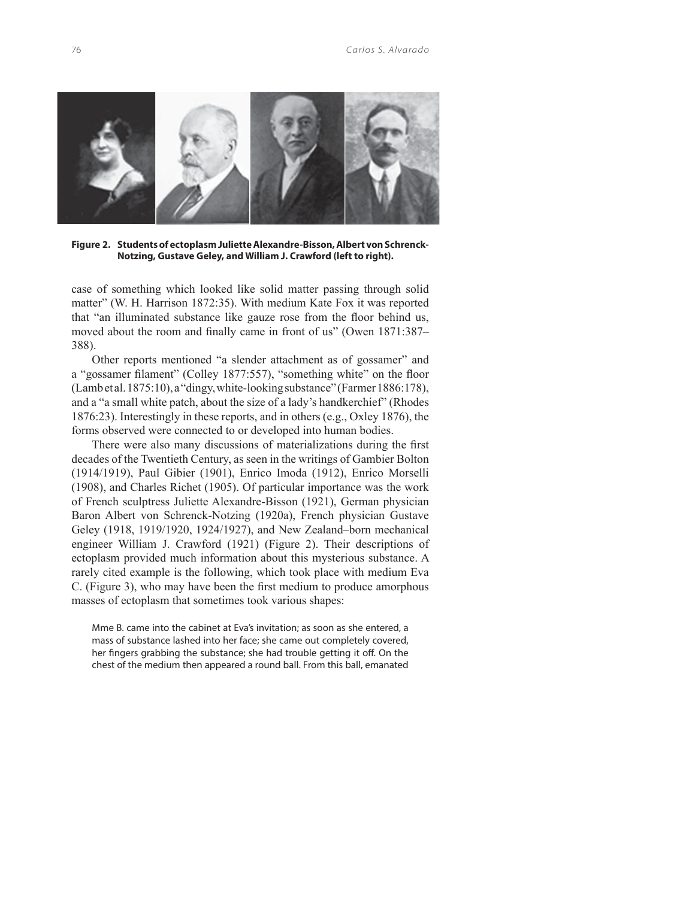

**Figure 2. Students of ectoplasm Juliette Alexandre-Bisson, Albert von Schrenck-Notzing, Gustave Geley, and William J. Crawford (left to right).** 

case of something which looked like solid matter passing through solid matter" (W. H. Harrison 1872:35). With medium Kate Fox it was reported that "an illuminated substance like gauze rose from the floor behind us, moved about the room and finally came in front of us" (Owen 1871:387– 388).

Other reports mentioned "a slender attachment as of gossamer" and a "gossamer filament" (Colley 1877:557), "something white" on the floor (Lamb et al. 1875:10), a "dingy, white-looking substance" (Farmer 1886:178), and a "a small white patch, about the size of a lady's handkerchief" (Rhodes 1876:23). Interestingly in these reports, and in others (e.g., Oxley 1876), the forms observed were connected to or developed into human bodies.

There were also many discussions of materializations during the first decades of the Twentieth Century, as seen in the writings of Gambier Bolton (1914/1919), Paul Gibier (1901), Enrico Imoda (1912), Enrico Morselli (1908), and Charles Richet (1905). Of particular importance was the work of French sculptress Juliette Alexandre-Bisson (1921), German physician Baron Albert von Schrenck-Notzing (1920a), French physician Gustave Geley (1918, 1919/1920, 1924/1927), and New Zealand–born mechanical engineer William J. Crawford (1921) (Figure 2). Their descriptions of ectoplasm provided much information about this mysterious substance. A rarely cited example is the following, which took place with medium Eva C. (Figure 3), who may have been the first medium to produce amorphous masses of ectoplasm that sometimes took various shapes:

Mme B. came into the cabinet at Eva's invitation; as soon as she entered, a mass of substance lashed into her face; she came out completely covered, her fingers grabbing the substance; she had trouble getting it off. On the chest of the medium then appeared a round ball. From this ball, emanated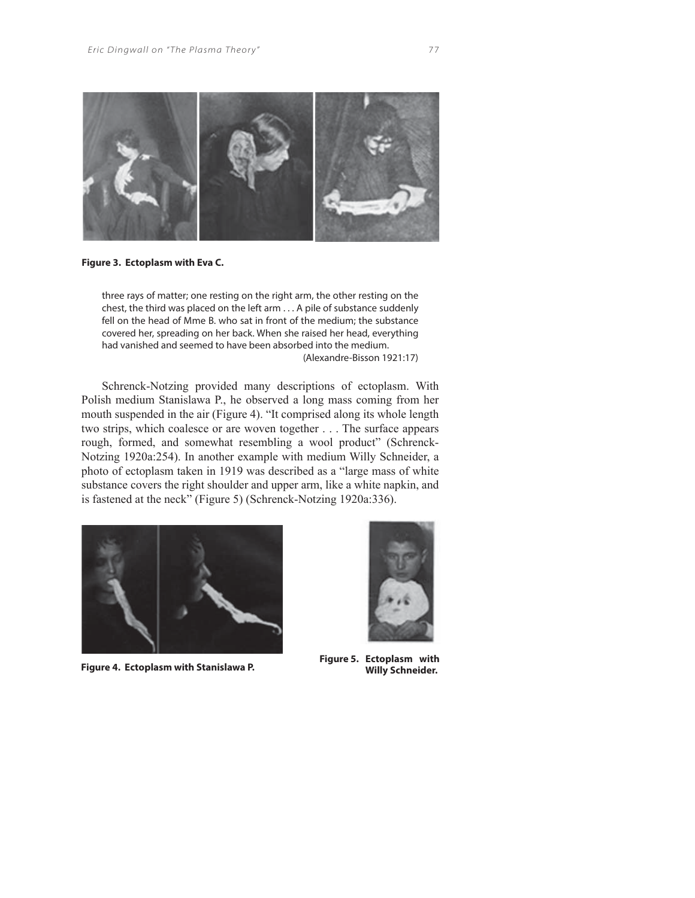

**Figure 3. Ectoplasm with Eva C.**

three rays of matter; one resting on the right arm, the other resting on the chest, the third was placed on the left arm . . . A pile of substance suddenly fell on the head of Mme B. who sat in front of the medium; the substance covered her, spreading on her back. When she raised her head, everything had vanished and seemed to have been absorbed into the medium. (Alexandre-Bisson 1921:17)

Schrenck-Notzing provided many descriptions of ectoplasm. With Polish medium Stanislawa P., he observed a long mass coming from her mouth suspended in the air (Figure 4). "It comprised along its whole length two strips, which coalesce or are woven together . . . The surface appears rough, formed, and somewhat resembling a wool product" (Schrenck-Notzing 1920a:254). In another example with medium Willy Schneider, a photo of ectoplasm taken in 1919 was described as a "large mass of white substance covers the right shoulder and upper arm, like a white napkin, and is fastened at the neck" (Figure 5) (Schrenck-Notzing 1920a:336).





**Figure 4. Ectoplasm with Stanislawa P. Figure 5. Ectoplasm with Willy Schneider.**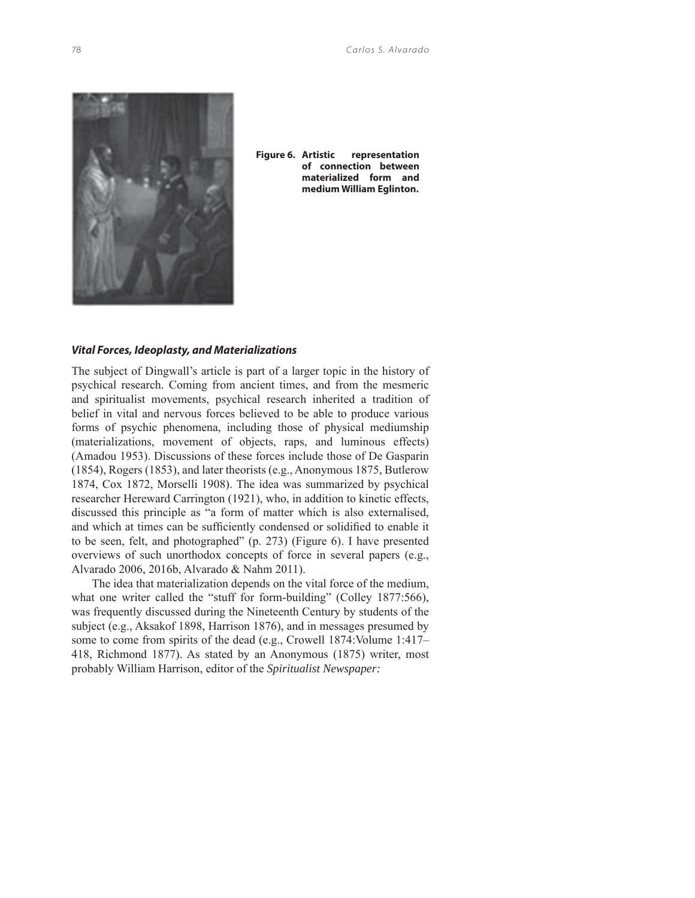

**Figure 6. Artistic representation of connection between materialized form and medium William Eglinton.**

## *Vital Forces, Ideoplasty, and Materializations*

The subject of Dingwall's article is part of a larger topic in the history of psychical research. Coming from ancient times, and from the mesmeric and spiritualist movements, psychical research inherited a tradition of belief in vital and nervous forces believed to be able to produce various forms of psychic phenomena, including those of physical mediumship (materializations, movement of objects, raps, and luminous effects) (Amadou 1953). Discussions of these forces include those of De Gasparin (1854), Rogers (1853), and later theorists (e.g., Anonymous 1875, Butlerow 1874, Cox 1872, Morselli 1908). The idea was summarized by psychical researcher Hereward Carrington (1921), who, in addition to kinetic effects, discussed this principle as "a form of matter which is also externalised, and which at times can be sufficiently condensed or solidified to enable it to be seen, felt, and photographed" (p. 273) (Figure 6). I have presented overviews of such unorthodox concepts of force in several papers (e.g., Alvarado 2006, 2016b, Alvarado & Nahm 2011).

The idea that materialization depends on the vital force of the medium, what one writer called the "stuff for form-building" (Colley 1877:566), was frequently discussed during the Nineteenth Century by students of the subject (e.g., Aksakof 1898, Harrison 1876), and in messages presumed by some to come from spirits of the dead (e.g., Crowell 1874:Volume 1:417– 418, Richmond 1877). As stated by an Anonymous (1875) writer, most probably William Harrison, editor of the *Spiritualist Newspaper:*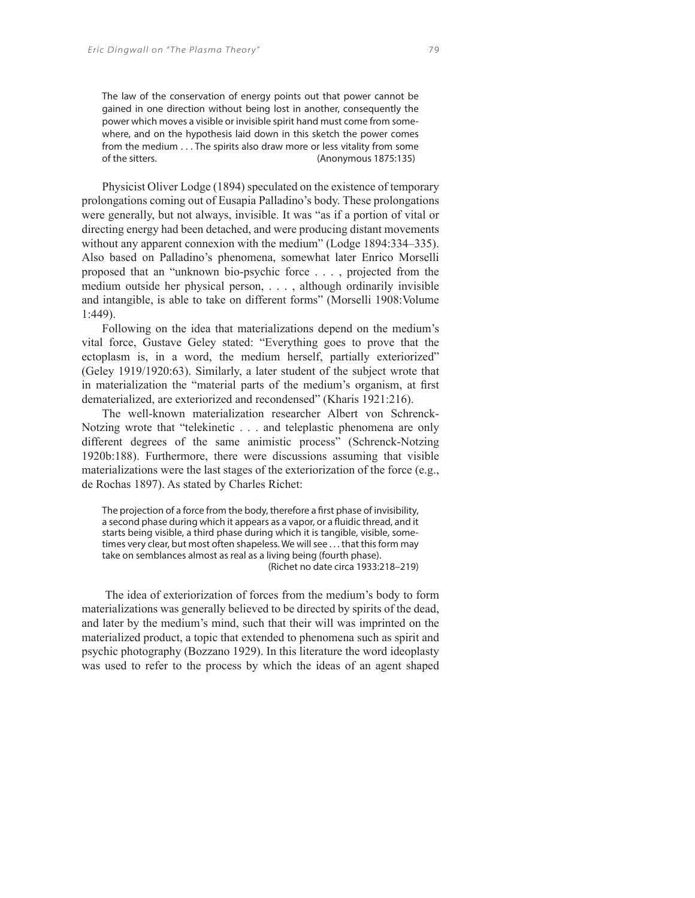The law of the conservation of energy points out that power cannot be gained in one direction without being lost in another, consequently the power which moves a visible or invisible spirit hand must come from somewhere, and on the hypothesis laid down in this sketch the power comes from the medium . . . The spirits also draw more or less vitality from some of the sitters. (Anonymous 1875:135)

Physicist Oliver Lodge (1894) speculated on the existence of temporary prolongations coming out of Eusapia Palladino's body. These prolongations were generally, but not always, invisible. It was "as if a portion of vital or directing energy had been detached, and were producing distant movements without any apparent connexion with the medium" (Lodge 1894:334–335). Also based on Palladino's phenomena, somewhat later Enrico Morselli proposed that an "unknown bio-psychic force . . . , projected from the medium outside her physical person, . . . , although ordinarily invisible and intangible, is able to take on different forms" (Morselli 1908:Volume 1:449).

Following on the idea that materializations depend on the medium's vital force, Gustave Geley stated: "Everything goes to prove that the ectoplasm is, in a word, the medium herself, partially exteriorized" (Geley 1919/1920:63). Similarly, a later student of the subject wrote that in materialization the "material parts of the medium's organism, at first dematerialized, are exteriorized and recondensed" (Kharis 1921:216).

The well-known materialization researcher Albert von Schrenck-Notzing wrote that "telekinetic . . . and teleplastic phenomena are only different degrees of the same animistic process" (Schrenck-Notzing 1920b:188). Furthermore, there were discussions assuming that visible materializations were the last stages of the exteriorization of the force (e.g., de Rochas 1897). As stated by Charles Richet:

The projection of a force from the body, therefore a first phase of invisibility, a second phase during which it appears as a vapor, or a fluidic thread, and it starts being visible, a third phase during which it is tangible, visible, sometimes very clear, but most often shapeless. We will see . . . that this form may take on semblances almost as real as a living being (fourth phase). (Richet no date circa 1933:218–219)

 The idea of exteriorization of forces from the medium's body to form materializations was generally believed to be directed by spirits of the dead, and later by the medium's mind, such that their will was imprinted on the materialized product, a topic that extended to phenomena such as spirit and psychic photography (Bozzano 1929). In this literature the word ideoplasty was used to refer to the process by which the ideas of an agent shaped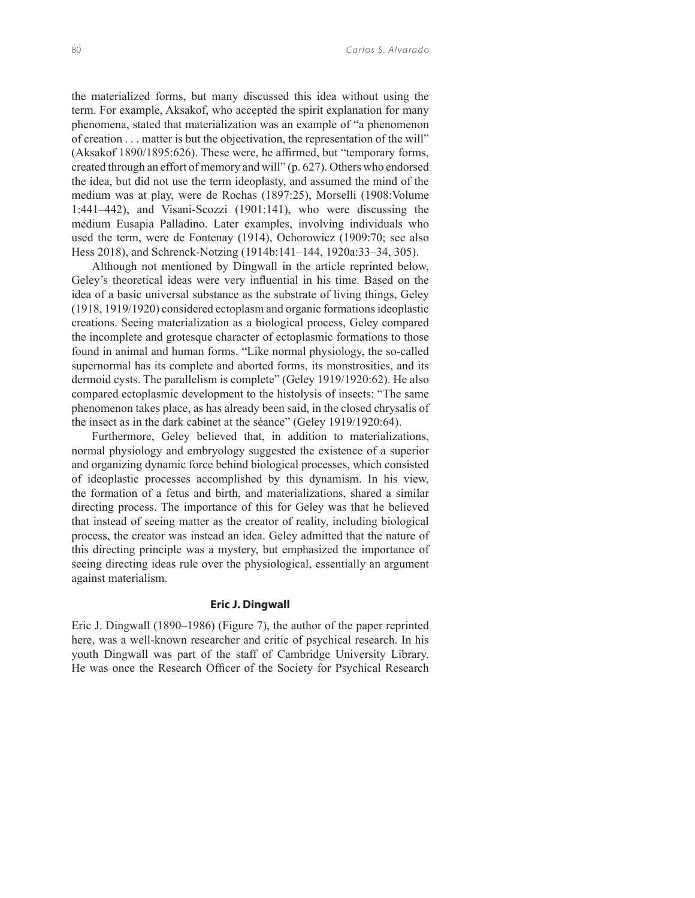the materialized forms, but many discussed this idea without using the term. For example, Aksakof, who accepted the spirit explanation for many phenomena, stated that materialization was an example of "a phenomenon of creation . . . matter is but the objectivation, the representation of the will"  $(Aksakof 1890/1895:626)$ . These were, he affirmed, but "temporary forms, created through an effort of memory and will" (p. 627). Others who endorsed the idea, but did not use the term ideoplasty, and assumed the mind of the medium was at play, were de Rochas (1897:25), Morselli (1908:Volume 1:441–442), and Visani-Scozzi (1901:141), who were discussing the medium Eusapia Palladino. Later examples, involving individuals who used the term, were de Fontenay (1914), Ochorowicz (1909:70; see also Hess 2018), and Schrenck-Notzing (1914b:141–144, 1920a:33–34, 305).

Although not mentioned by Dingwall in the article reprinted below, Geley's theoretical ideas were very influential in his time. Based on the idea of a basic universal substance as the substrate of living things, Geley (1918, 1919/1920) considered ectoplasm and organic formations ideoplastic creations. Seeing materialization as a biological process, Geley compared the incomplete and grotesque character of ectoplasmic formations to those found in animal and human forms. "Like normal physiology, the so-called supernormal has its complete and aborted forms, its monstrosities, and its dermoid cysts. The parallelism is complete" (Geley 1919/1920:62). He also compared ectoplasmic development to the histolysis of insects: "The same phenomenon takes place, as has already been said, in the closed chrysalis of the insect as in the dark cabinet at the séance" (Geley 1919/1920:64).

Furthermore, Geley believed that, in addition to materializations, normal physiology and embryology suggested the existence of a superior and organizing dynamic force behind biological processes, which consisted of ideoplastic processes accomplished by this dynamism. In his view, the formation of a fetus and birth, and materializations, shared a similar directing process. The importance of this for Geley was that he believed that instead of seeing matter as the creator of reality, including biological process, the creator was instead an idea. Geley admitted that the nature of this directing principle was a mystery, but emphasized the importance of seeing directing ideas rule over the physiological, essentially an argument against materialism.

## **Eric J. Dingwall**

Eric J. Dingwall (1890–1986) (Figure 7), the author of the paper reprinted here, was a well-known researcher and critic of psychical research. In his youth Dingwall was part of the staff of Cambridge University Library. He was once the Research Officer of the Society for Psychical Research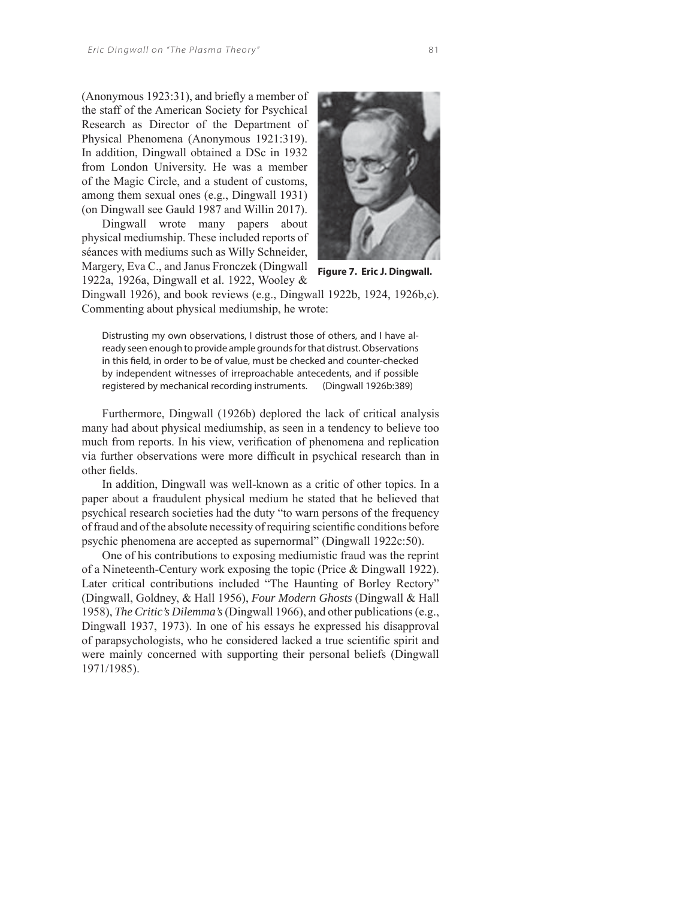$($ Anonymous 1923:31 $)$ , and briefly a member of the staff of the American Society for Psychical Research as Director of the Department of Physical Phenomena (Anonymous 1921:319). In addition, Dingwall obtained a DSc in 1932 from London University. He was a member of the Magic Circle, and a student of customs, among them sexual ones (e.g., Dingwall 1931) (on Dingwall see Gauld 1987 and Willin 2017).

Dingwall wrote many papers about physical mediumship. These included reports of séances with mediums such as Willy Schneider, Margery, Eva C., and Janus Fronczek (Dingwall 1922a, 1926a, Dingwall et al. 1922, Wooley &



**Figure 7. Eric J. Dingwall.**

Dingwall 1926), and book reviews (e.g., Dingwall 1922b, 1924, 1926b,c). Commenting about physical mediumship, he wrote:

Distrusting my own observations, I distrust those of others, and I have already seen enough to provide ample grounds for that distrust. Observations in this field, in order to be of value, must be checked and counter-checked by independent witnesses of irreproachable antecedents, and if possible registered by mechanical recording instruments. (Dingwall 1926b:389)

Furthermore, Dingwall (1926b) deplored the lack of critical analysis many had about physical mediumship, as seen in a tendency to believe too much from reports. In his view, verification of phenomena and replication via further observations were more difficult in psychical research than in other fields.

In addition, Dingwall was well-known as a critic of other topics. In a paper about a fraudulent physical medium he stated that he believed that psychical research societies had the duty "to warn persons of the frequency of fraud and of the absolute necessity of requiring scientific conditions before psychic phenomena are accepted as supernormal" (Dingwall 1922c:50).

One of his contributions to exposing mediumistic fraud was the reprint of a Nineteenth-Century work exposing the topic (Price & Dingwall 1922). Later critical contributions included "The Haunting of Borley Rectory" (Dingwall, Goldney, & Hall 1956), *Four Modern Ghosts* (Dingwall & Hall 1958), *The Critic's Dilemma's* (Dingwall 1966), and other publications (e.g., Dingwall 1937, 1973). In one of his essays he expressed his disapproval of parapsychologists, who he considered lacked a true scientific spirit and were mainly concerned with supporting their personal beliefs (Dingwall 1971/1985).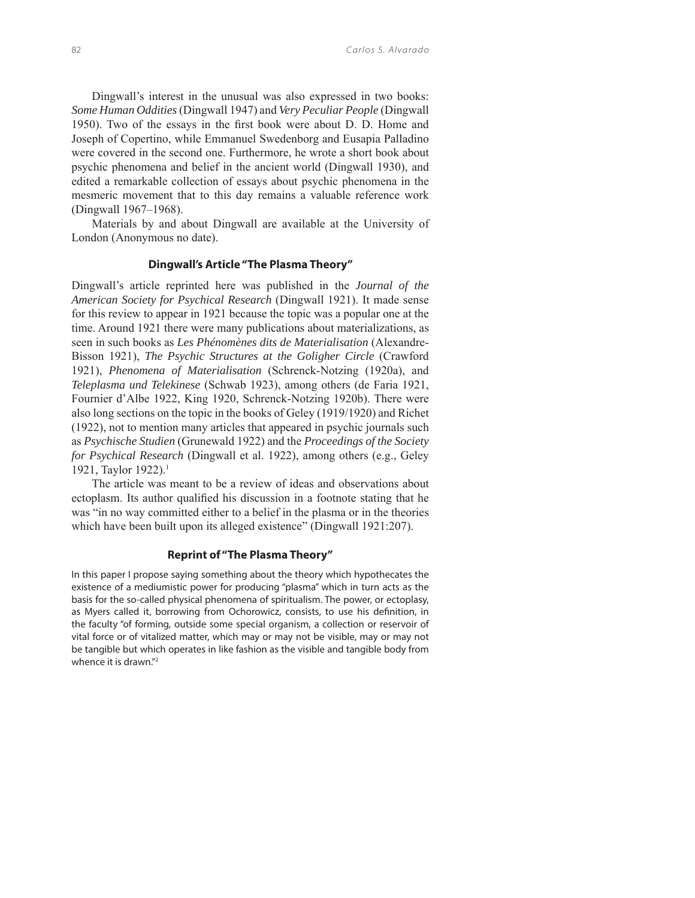Dingwall's interest in the unusual was also expressed in two books: *Some Human Oddities* (Dingwall 1947) and *Very Peculiar People* (Dingwall 1950). Two of the essays in the first book were about D. D. Home and Joseph of Copertino, while Emmanuel Swedenborg and Eusapia Palladino were covered in the second one. Furthermore, he wrote a short book about psychic phenomena and belief in the ancient world (Dingwall 1930), and edited a remarkable collection of essays about psychic phenomena in the mesmeric movement that to this day remains a valuable reference work (Dingwall 1967–1968).

Materials by and about Dingwall are available at the University of London (Anonymous no date).

#### **Dingwall's Article "The Plasma Theory"**

Dingwall's article reprinted here was published in the *Journal of the American Society for Psychical Research* (Dingwall 1921). It made sense for this review to appear in 1921 because the topic was a popular one at the time. Around 1921 there were many publications about materializations, as seen in such books as *Les Phénomènes dits de Materialisation* (Alexandre-Bisson 1921), *The Psychic Structures at the Goligher Circle* (Crawford 1921), *Phenomena of Materialisation* (Schrenck-Notzing (1920a), and *Teleplasma und Telekinese* (Schwab 1923), among others (de Faria 1921, Fournier d'Albe 1922, King 1920, Schrenck-Notzing 1920b). There were also long sections on the topic in the books of Geley (1919/1920) and Richet (1922), not to mention many articles that appeared in psychic journals such as *Psychische Studien* (Grunewald 1922) and the *Proceedings of the Society for Psychical Research* (Dingwall et al. 1922), among others (e.g., Geley 1921, Taylor 1922).1

The article was meant to be a review of ideas and observations about ectoplasm. Its author qualified his discussion in a footnote stating that he was "in no way committed either to a belief in the plasma or in the theories which have been built upon its alleged existence" (Dingwall 1921:207).

#### **Reprint of "The Plasma Theory"**

In this paper I propose saying something about the theory which hypothecates the existence of a mediumistic power for producing "plasma" which in turn acts as the basis for the so-called physical phenomena of spiritualism. The power, or ectoplasy, as Myers called it, borrowing from Ochorowicz, consists, to use his definition, in the faculty "of forming, outside some special organism, a collection or reservoir of vital force or of vitalized matter, which may or may not be visible, may or may not be tangible but which operates in like fashion as the visible and tangible body from whence it is drawn."<sup>2</sup>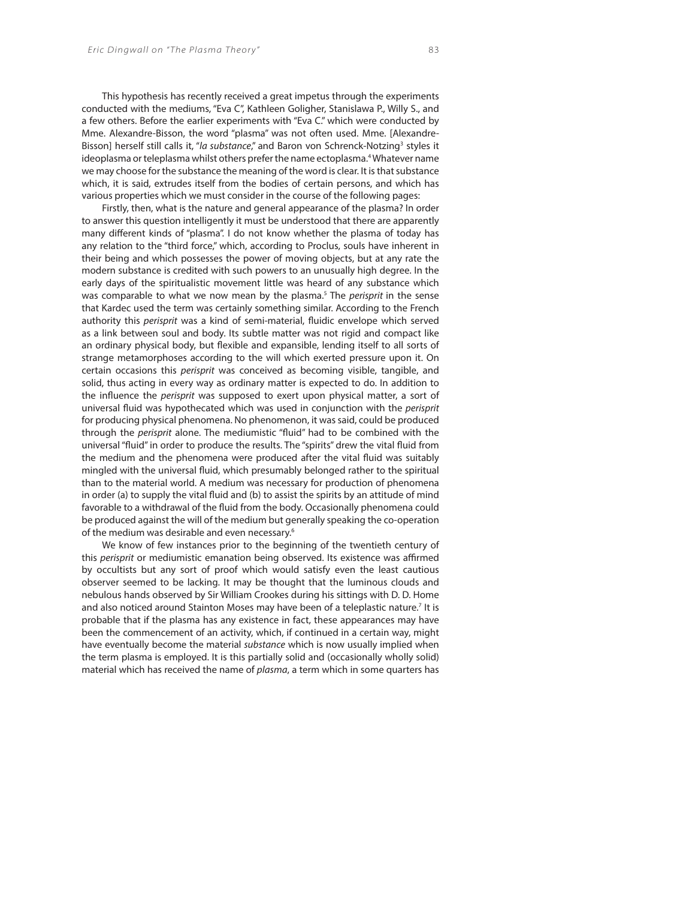This hypothesis has recently received a great impetus through the experiments conducted with the mediums, "Eva C", Kathleen Goligher, Stanislawa P., Willy S., and a few others. Before the earlier experiments with "Eva C." which were conducted by Mme. Alexandre-Bisson, the word "plasma" was not often used. Mme. [Alexandre-Bisson] herself still calls it, "la substance," and Baron von Schrenck-Notzing<sup>3</sup> styles it ideoplasma or teleplasma whilst others prefer the name ectoplasma.<sup>4</sup> Whatever name we may choose for the substance the meaning of the word is clear. It is that substance which, it is said, extrudes itself from the bodies of certain persons, and which has various properties which we must consider in the course of the following pages:

Firstly, then, what is the nature and general appearance of the plasma? In order to answer this question intelligently it must be understood that there are apparently many different kinds of "plasma". I do not know whether the plasma of today has any relation to the "third force," which, according to Proclus, souls have inherent in their being and which possesses the power of moving objects, but at any rate the modern substance is credited with such powers to an unusually high degree. In the early days of the spiritualistic movement little was heard of any substance which was comparable to what we now mean by the plasma.<sup>5</sup> The *perisprit* in the sense that Kardec used the term was certainly something similar. According to the French authority this perisprit was a kind of semi-material, fluidic envelope which served as a link between soul and body. Its subtle matter was not rigid and compact like an ordinary physical body, but flexible and expansible, lending itself to all sorts of strange metamorphoses according to the will which exerted pressure upon it. On certain occasions this perisprit was conceived as becoming visible, tangible, and solid, thus acting in every way as ordinary matter is expected to do. In addition to the influence the perisprit was supposed to exert upon physical matter, a sort of universal fluid was hypothecated which was used in conjunction with the perisprit for producing physical phenomena. No phenomenon, it was said, could be produced through the perisprit alone. The mediumistic "fluid" had to be combined with the universal "fluid" in order to produce the results. The "spirits" drew the vital fluid from the medium and the phenomena were produced after the vital fluid was suitably mingled with the universal fluid, which presumably belonged rather to the spiritual than to the material world. A medium was necessary for production of phenomena in order (a) to supply the vital fluid and (b) to assist the spirits by an attitude of mind favorable to a withdrawal of the fluid from the body. Occasionally phenomena could be produced against the will of the medium but generally speaking the co-operation of the medium was desirable and even necessary.6

We know of few instances prior to the beginning of the twentieth century of this perisprit or mediumistic emanation being observed. Its existence was affirmed by occultists but any sort of proof which would satisfy even the least cautious observer seemed to be lacking. It may be thought that the luminous clouds and nebulous hands observed by Sir William Crookes during his sittings with D. D. Home and also noticed around Stainton Moses may have been of a teleplastic nature.<sup>7</sup> It is probable that if the plasma has any existence in fact, these appearances may have been the commencement of an activity, which, if continued in a certain way, might have eventually become the material substance which is now usually implied when the term plasma is employed. It is this partially solid and (occasionally wholly solid) material which has received the name of plasma, a term which in some quarters has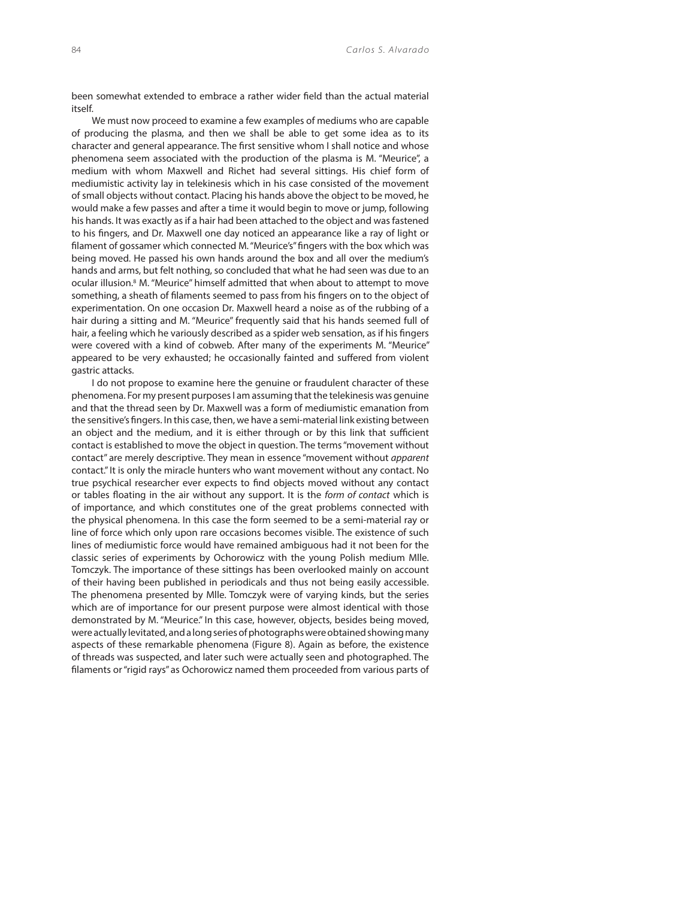been somewhat extended to embrace a rather wider field than the actual material itself.

We must now proceed to examine a few examples of mediums who are capable of producing the plasma, and then we shall be able to get some idea as to its character and general appearance. The first sensitive whom I shall notice and whose phenomena seem associated with the production of the plasma is M. "Meurice", a medium with whom Maxwell and Richet had several sittings. His chief form of mediumistic activity lay in telekinesis which in his case consisted of the movement of small objects without contact. Placing his hands above the object to be moved, he would make a few passes and after a time it would begin to move or jump, following his hands. It was exactly as if a hair had been attached to the object and was fastened to his fingers, and Dr. Maxwell one day noticed an appearance like a ray of light or filament of gossamer which connected M. "Meurice's" fingers with the box which was being moved. He passed his own hands around the box and all over the medium's hands and arms, but felt nothing, so concluded that what he had seen was due to an ocular illusion.<sup>8</sup> M. "Meurice" himself admitted that when about to attempt to move something, a sheath of filaments seemed to pass from his fingers on to the object of experimentation. On one occasion Dr. Maxwell heard a noise as of the rubbing of a hair during a sitting and M. "Meurice" frequently said that his hands seemed full of hair, a feeling which he variously described as a spider web sensation, as if his fingers were covered with a kind of cobweb. After many of the experiments M. "Meurice" appeared to be very exhausted; he occasionally fainted and suffered from violent gastric attacks.

I do not propose to examine here the genuine or fraudulent character of these phenomena. For my present purposes I am assuming that the telekinesis was genuine and that the thread seen by Dr. Maxwell was a form of mediumistic emanation from the sensitive's fingers. In this case, then, we have a semi-material link existing between an object and the medium, and it is either through or by this link that sufficient contact is established to move the object in question. The terms "movement without contact" are merely descriptive. They mean in essence "movement without *apparent* contact." It is only the miracle hunters who want movement without any contact. No true psychical researcher ever expects to find objects moved without any contact or tables floating in the air without any support. It is the form of contact which is of importance, and which constitutes one of the great problems connected with the physical phenomena. In this case the form seemed to be a semi-material ray or line of force which only upon rare occasions becomes visible. The existence of such lines of mediumistic force would have remained ambiguous had it not been for the classic series of experiments by Ochorowicz with the young Polish medium Mlle. Tomczyk. The importance of these sittings has been overlooked mainly on account of their having been published in periodicals and thus not being easily accessible. The phenomena presented by Mlle. Tomczyk were of varying kinds, but the series which are of importance for our present purpose were almost identical with those demonstrated by M. "Meurice." In this case, however, objects, besides being moved, were actually levitated, and a long series of photographs were obtained showing many aspects of these remarkable phenomena (Figure 8). Again as before, the existence of threads was suspected, and later such were actually seen and photographed. The filaments or "rigid rays" as Ochorowicz named them proceeded from various parts of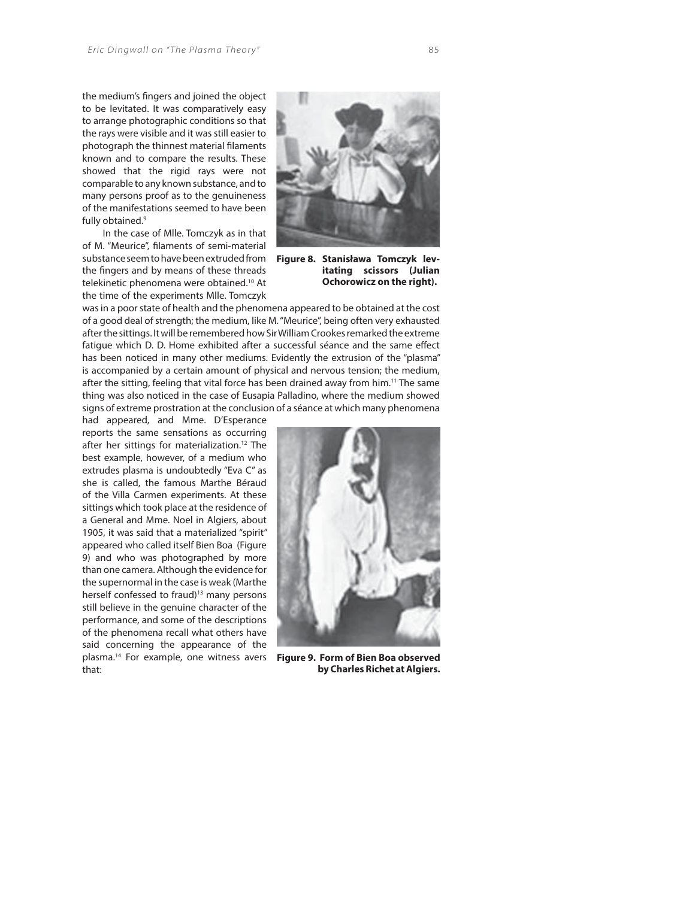the medium's fingers and joined the object to be levitated. It was comparatively easy to arrange photographic conditions so that the rays were visible and it was still easier to photograph the thinnest material filaments known and to compare the results. These showed that the rigid rays were not comparable to any known substance, and to many persons proof as to the genuineness of the manifestations seemed to have been fully obtained.<sup>9</sup>

In the case of Mlle. Tomczyk as in that of M. "Meurice", filaments of semi-material substance seem to have been extruded from the fingers and by means of these threads telekinetic phenomena were obtained.10 At the time of the experiments Mlle. Tomczyk



**Figure 8. Stanisława Tomczyk levitating scissors (Julian Ochorowicz on the right).**

was in a poor state of health and the phenomena appeared to be obtained at the cost of a good deal of strength; the medium, like M. "Meurice", being often very exhausted after the sittings. It will be remembered how Sir William Crookes remarked the extreme fatigue which D. D. Home exhibited after a successful séance and the same effect has been noticed in many other mediums. Evidently the extrusion of the "plasma" is accompanied by a certain amount of physical and nervous tension; the medium, after the sitting, feeling that vital force has been drained away from him.<sup>11</sup> The same thing was also noticed in the case of Eusapia Palladino, where the medium showed signs of extreme prostration at the conclusion of a séance at which many phenomena

had appeared, and Mme. D'Esperance reports the same sensations as occurring after her sittings for materialization.12 The best example, however, of a medium who extrudes plasma is undoubtedly "Eva C" as she is called, the famous Marthe Béraud of the Villa Carmen experiments. At these sittings which took place at the residence of a General and Mme. Noel in Algiers, about 1905, it was said that a materialized "spirit" appeared who called itself Bien Boa (Figure 9) and who was photographed by more than one camera. Although the evidence for the supernormal in the case is weak (Marthe herself confessed to fraud)<sup>13</sup> many persons still believe in the genuine character of the performance, and some of the descriptions of the phenomena recall what others have said concerning the appearance of the plasma.14 For example, one witness avers that:



**Figure 9. Form of Bien Boa observed by Charles Richet at Algiers.**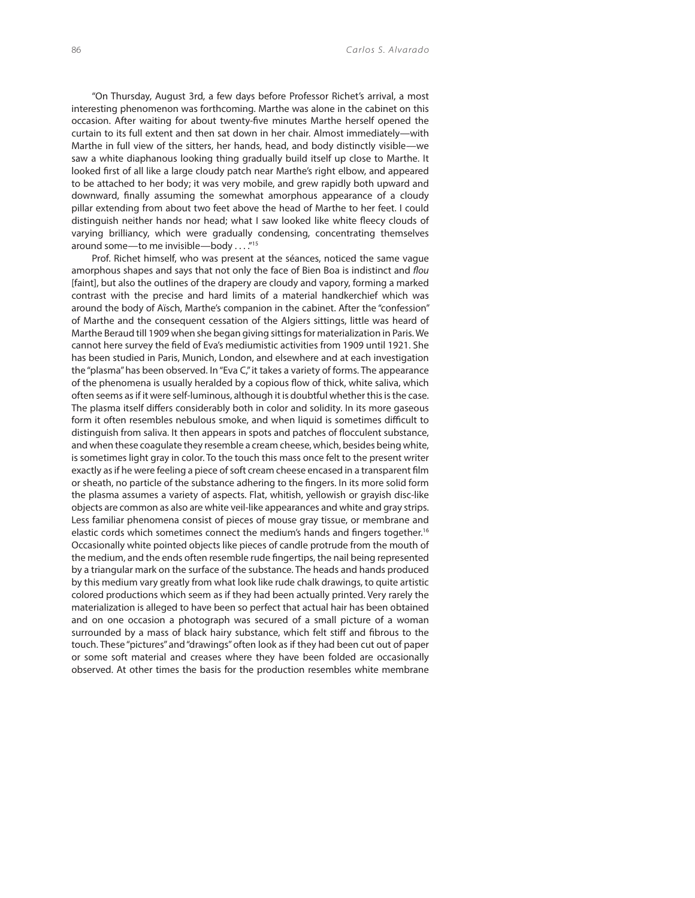"On Thursday, August 3rd, a few days before Professor Richet's arrival, a most interesting phenomenon was forthcoming. Marthe was alone in the cabinet on this occasion. After waiting for about twenty-five minutes Marthe herself opened the curtain to its full extent and then sat down in her chair. Almost immediately—with Marthe in full view of the sitters, her hands, head, and body distinctly visible—we saw a white diaphanous looking thing gradually build itself up close to Marthe. It looked first of all like a large cloudy patch near Marthe's right elbow, and appeared to be attached to her body; it was very mobile, and grew rapidly both upward and downward, finally assuming the somewhat amorphous appearance of a cloudy pillar extending from about two feet above the head of Marthe to her feet. I could distinguish neither hands nor head; what I saw looked like white fleecy clouds of varying brilliancy, which were gradually condensing, concentrating themselves around some—to me invisible—body . . . ."15

Prof. Richet himself, who was present at the séances, noticed the same vague amorphous shapes and says that not only the face of Bien Boa is indistinct and flou [faint], but also the outlines of the drapery are cloudy and vapory, forming a marked contrast with the precise and hard limits of a material handkerchief which was around the body of Aïsch, Marthe's companion in the cabinet. After the "confession" of Marthe and the consequent cessation of the Algiers sittings, little was heard of Marthe Beraud till 1909 when she began giving sittings for materialization in Paris. We cannot here survey the field of Eva's mediumistic activities from 1909 until 1921. She has been studied in Paris, Munich, London, and elsewhere and at each investigation the "plasma" has been observed. In "Eva C," it takes a variety of forms. The appearance of the phenomena is usually heralded by a copious flow of thick, white saliva, which often seems as if it were self-luminous, although it is doubtful whether this is the case. The plasma itself differs considerably both in color and solidity. In its more gaseous form it often resembles nebulous smoke, and when liquid is sometimes difficult to distinguish from saliva. It then appears in spots and patches of flocculent substance, and when these coagulate they resemble a cream cheese, which, besides being white, is sometimes light gray in color. To the touch this mass once felt to the present writer exactly as if he were feeling a piece of soft cream cheese encased in a transparent film or sheath, no particle of the substance adhering to the fingers. In its more solid form the plasma assumes a variety of aspects. Flat, whitish, yellowish or grayish disc-like objects are common as also are white veil-like appearances and white and gray strips. Less familiar phenomena consist of pieces of mouse gray tissue, or membrane and elastic cords which sometimes connect the medium's hands and fingers together.<sup>16</sup> Occasionally white pointed objects like pieces of candle protrude from the mouth of the medium, and the ends often resemble rude fingertips, the nail being represented by a triangular mark on the surface of the substance. The heads and hands produced by this medium vary greatly from what look like rude chalk drawings, to quite artistic colored productions which seem as if they had been actually printed. Very rarely the materialization is alleged to have been so perfect that actual hair has been obtained and on one occasion a photograph was secured of a small picture of a woman surrounded by a mass of black hairy substance, which felt stiff and fibrous to the touch. These "pictures" and "drawings" often look as if they had been cut out of paper or some soft material and creases where they have been folded are occasionally observed. At other times the basis for the production resembles white membrane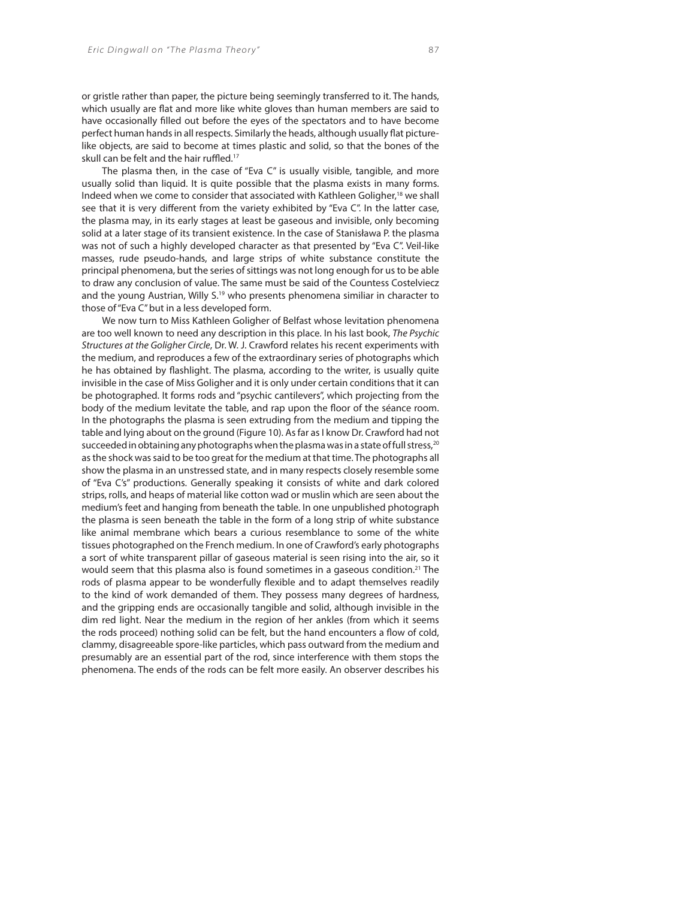or gristle rather than paper, the picture being seemingly transferred to it. The hands, which usually are flat and more like white gloves than human members are said to have occasionally filled out before the eyes of the spectators and to have become perfect human hands in all respects. Similarly the heads, although usually flat picturelike objects, are said to become at times plastic and solid, so that the bones of the skull can be felt and the hair ruffled.<sup>17</sup>

The plasma then, in the case of "Eva C" is usually visible, tangible, and more usually solid than liquid. It is quite possible that the plasma exists in many forms. Indeed when we come to consider that associated with Kathleen Goligher,<sup>18</sup> we shall see that it is very different from the variety exhibited by "Eva C". In the latter case, the plasma may, in its early stages at least be gaseous and invisible, only becoming solid at a later stage of its transient existence. In the case of Stanisława P. the plasma was not of such a highly developed character as that presented by "Eva C". Veil-like masses, rude pseudo-hands, and large strips of white substance constitute the principal phenomena, but the series of sittings was not long enough for us to be able to draw any conclusion of value. The same must be said of the Countess Costelviecz and the young Austrian, Willy S.<sup>19</sup> who presents phenomena similiar in character to those of "Eva C" but in a less developed form.

We now turn to Miss Kathleen Goligher of Belfast whose levitation phenomena are too well known to need any description in this place. In his last book, The Psychic Structures at the Goligher Circle, Dr. W. J. Crawford relates his recent experiments with the medium, and reproduces a few of the extraordinary series of photographs which he has obtained by flashlight. The plasma, according to the writer, is usually quite invisible in the case of Miss Goligher and it is only under certain conditions that it can be photographed. It forms rods and "psychic cantilevers", which projecting from the body of the medium levitate the table, and rap upon the floor of the séance room. In the photographs the plasma is seen extruding from the medium and tipping the table and lying about on the ground (Figure 10). As far as I know Dr. Crawford had not succeeded in obtaining any photographs when the plasma was in a state of full stress,<sup>20</sup> as the shock was said to be too great for the medium at that time. The photographs all show the plasma in an unstressed state, and in many respects closely resemble some of "Eva C's" productions. Generally speaking it consists of white and dark colored strips, rolls, and heaps of material like cotton wad or muslin which are seen about the medium's feet and hanging from beneath the table. In one unpublished photograph the plasma is seen beneath the table in the form of a long strip of white substance like animal membrane which bears a curious resemblance to some of the white tissues photographed on the French medium. In one of Crawford's early photographs a sort of white transparent pillar of gaseous material is seen rising into the air, so it would seem that this plasma also is found sometimes in a gaseous condition.<sup>21</sup> The rods of plasma appear to be wonderfully flexible and to adapt themselves readily to the kind of work demanded of them. They possess many degrees of hardness, and the gripping ends are occasionally tangible and solid, although invisible in the dim red light. Near the medium in the region of her ankles (from which it seems the rods proceed) nothing solid can be felt, but the hand encounters a flow of cold, clammy, disagreeable spore-like particles, which pass outward from the medium and presumably are an essential part of the rod, since interference with them stops the phenomena. The ends of the rods can be felt more easily. An observer describes his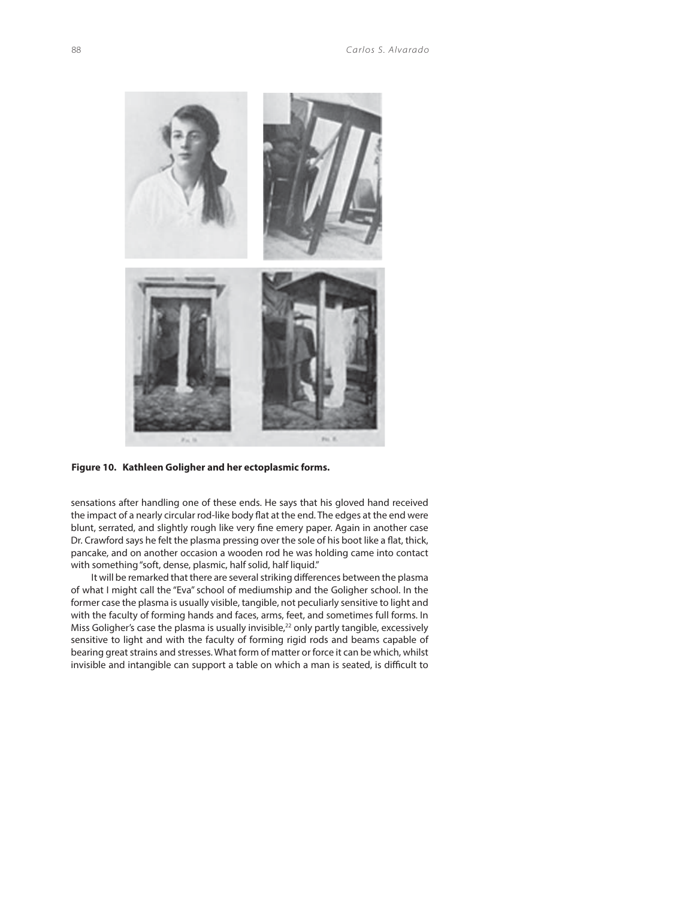

**Figure 10. Kathleen Goligher and her ectoplasmic forms.**

sensations after handling one of these ends. He says that his gloved hand received the impact of a nearly circular rod-like body flat at the end. The edges at the end were blunt, serrated, and slightly rough like very fine emery paper. Again in another case Dr. Crawford says he felt the plasma pressing over the sole of his boot like a flat, thick, pancake, and on another occasion a wooden rod he was holding came into contact with something "soft, dense, plasmic, half solid, half liquid."

It will be remarked that there are several striking differences between the plasma of what I might call the "Eva" school of mediumship and the Goligher school. In the former case the plasma is usually visible, tangible, not peculiarly sensitive to light and with the faculty of forming hands and faces, arms, feet, and sometimes full forms. In Miss Goligher's case the plasma is usually invisible,<sup>22</sup> only partly tangible, excessively sensitive to light and with the faculty of forming rigid rods and beams capable of bearing great strains and stresses. What form of matter or force it can be which, whilst invisible and intangible can support a table on which a man is seated, is difficult to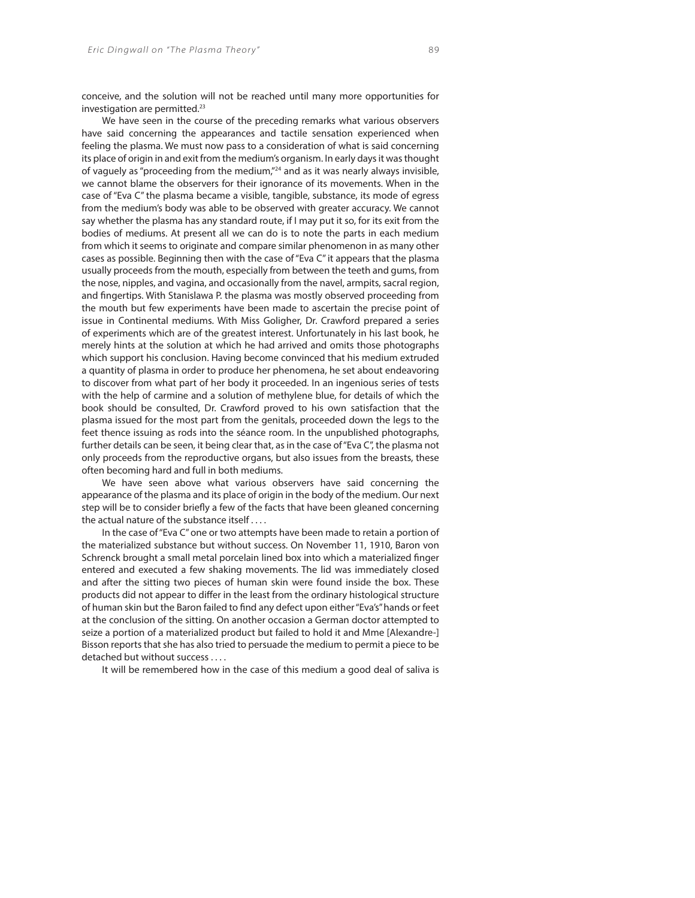conceive, and the solution will not be reached until many more opportunities for investigation are permitted.<sup>23</sup>

We have seen in the course of the preceding remarks what various observers have said concerning the appearances and tactile sensation experienced when feeling the plasma. We must now pass to a consideration of what is said concerning its place of origin in and exit from the medium's organism. In early days it was thought of vaguely as "proceeding from the medium,"24 and as it was nearly always invisible, we cannot blame the observers for their ignorance of its movements. When in the case of "Eva C" the plasma became a visible, tangible, substance, its mode of egress from the medium's body was able to be observed with greater accuracy. We cannot say whether the plasma has any standard route, if I may put it so, for its exit from the bodies of mediums. At present all we can do is to note the parts in each medium from which it seems to originate and compare similar phenomenon in as many other cases as possible. Beginning then with the case of "Eva C" it appears that the plasma usually proceeds from the mouth, especially from between the teeth and gums, from the nose, nipples, and vagina, and occasionally from the navel, armpits, sacral region, and fingertips. With Stanislawa P. the plasma was mostly observed proceeding from the mouth but few experiments have been made to ascertain the precise point of issue in Continental mediums. With Miss Goligher, Dr. Crawford prepared a series of experiments which are of the greatest interest. Unfortunately in his last book, he merely hints at the solution at which he had arrived and omits those photographs which support his conclusion. Having become convinced that his medium extruded a quantity of plasma in order to produce her phenomena, he set about endeavoring to discover from what part of her body it proceeded. In an ingenious series of tests with the help of carmine and a solution of methylene blue, for details of which the book should be consulted, Dr. Crawford proved to his own satisfaction that the plasma issued for the most part from the genitals, proceeded down the legs to the feet thence issuing as rods into the séance room. In the unpublished photographs, further details can be seen, it being clear that, as in the case of "Eva C", the plasma not only proceeds from the reproductive organs, but also issues from the breasts, these often becoming hard and full in both mediums.

We have seen above what various observers have said concerning the appearance of the plasma and its place of origin in the body of the medium. Our next step will be to consider briefly a few of the facts that have been gleaned concerning the actual nature of the substance itself . . . .

In the case of "Eva C" one or two attempts have been made to retain a portion of the materialized substance but without success. On November 11, 1910, Baron von Schrenck brought a small metal porcelain lined box into which a materialized finger entered and executed a few shaking movements. The lid was immediately closed and after the sitting two pieces of human skin were found inside the box. These products did not appear to differ in the least from the ordinary histological structure of human skin but the Baron failed to find any defect upon either "Eva's" hands or feet at the conclusion of the sitting. On another occasion a German doctor attempted to seize a portion of a materialized product but failed to hold it and Mme [Alexandre-] Bisson reports that she has also tried to persuade the medium to permit a piece to be detached but without success . . . .

It will be remembered how in the case of this medium a good deal of saliva is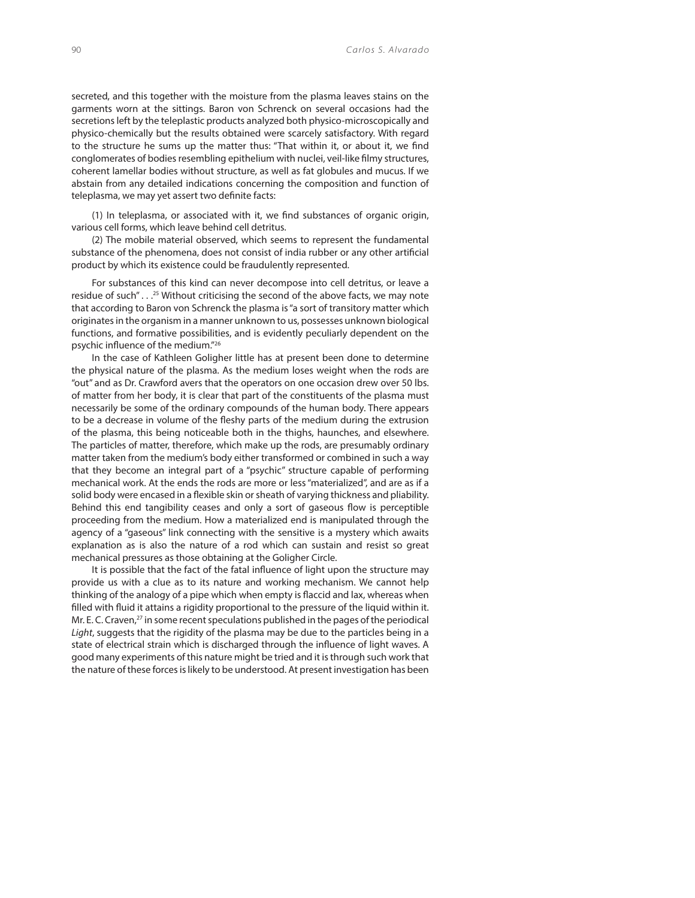secreted, and this together with the moisture from the plasma leaves stains on the garments worn at the sittings. Baron von Schrenck on several occasions had the secretions left by the teleplastic products analyzed both physico-microscopically and physico-chemically but the results obtained were scarcely satisfactory. With regard to the structure he sums up the matter thus: "That within it, or about it, we find conglomerates of bodies resembling epithelium with nuclei, veil-like filmy structures, coherent lamellar bodies without structure, as well as fat globules and mucus. If we abstain from any detailed indications concerning the composition and function of teleplasma, we may yet assert two definite facts:

 $(1)$  In teleplasma, or associated with it, we find substances of organic origin, various cell forms, which leave behind cell detritus.

(2) The mobile material observed, which seems to represent the fundamental substance of the phenomena, does not consist of india rubber or any other artificial product by which its existence could be fraudulently represented.

For substances of this kind can never decompose into cell detritus, or leave a residue of such" . . .<sup>25</sup> Without criticising the second of the above facts, we may note that according to Baron von Schrenck the plasma is "a sort of transitory matter which originates in the organism in a manner unknown to us, possesses unknown biological functions, and formative possibilities, and is evidently peculiarly dependent on the psychic influence of the medium."<sup>26</sup>

In the case of Kathleen Goligher little has at present been done to determine the physical nature of the plasma. As the medium loses weight when the rods are "out" and as Dr. Crawford avers that the operators on one occasion drew over 50 lbs. of matter from her body, it is clear that part of the constituents of the plasma must necessarily be some of the ordinary compounds of the human body. There appears to be a decrease in volume of the fleshy parts of the medium during the extrusion of the plasma, this being noticeable both in the thighs, haunches, and elsewhere. The particles of matter, therefore, which make up the rods, are presumably ordinary matter taken from the medium's body either transformed or combined in such a way that they become an integral part of a "psychic" structure capable of performing mechanical work. At the ends the rods are more or less "materialized", and are as if a solid body were encased in a flexible skin or sheath of varying thickness and pliability. Behind this end tangibility ceases and only a sort of gaseous flow is perceptible proceeding from the medium. How a materialized end is manipulated through the agency of a "gaseous" link connecting with the sensitive is a mystery which awaits explanation as is also the nature of a rod which can sustain and resist so great mechanical pressures as those obtaining at the Goligher Circle.

It is possible that the fact of the fatal influence of light upon the structure may provide us with a clue as to its nature and working mechanism. We cannot help thinking of the analogy of a pipe which when empty is flaccid and lax, whereas when filled with fluid it attains a rigidity proportional to the pressure of the liquid within it. Mr. E. C. Craven, $27$  in some recent speculations published in the pages of the periodical Light, suggests that the rigidity of the plasma may be due to the particles being in a state of electrical strain which is discharged through the influence of light waves. A good many experiments of this nature might be tried and it is through such work that the nature of these forces is likely to be understood. At present investigation has been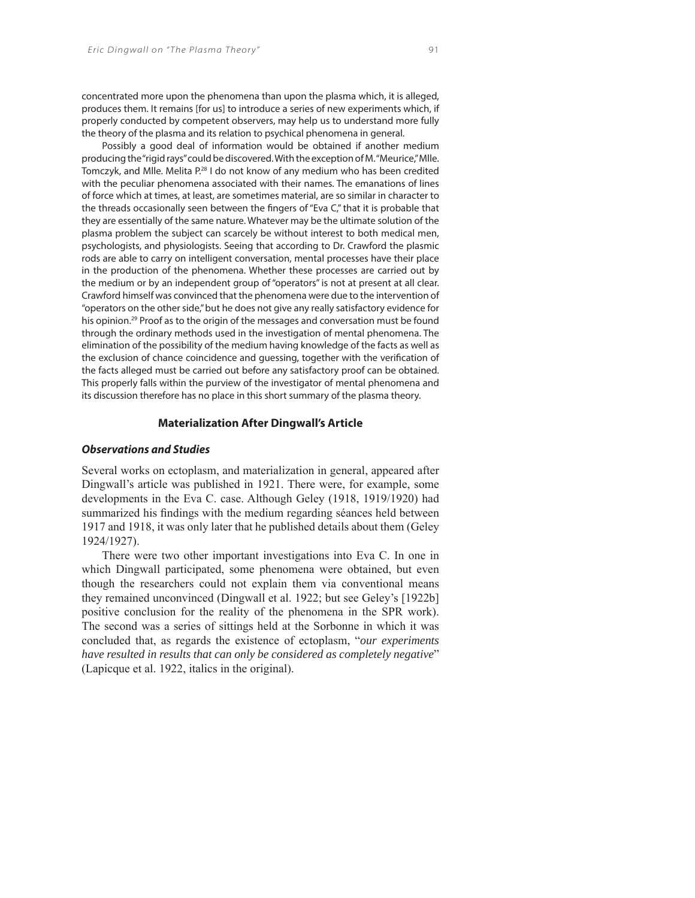concentrated more upon the phenomena than upon the plasma which, it is alleged, produces them. It remains [for us] to introduce a series of new experiments which, if properly conducted by competent observers, may help us to understand more fully the theory of the plasma and its relation to psychical phenomena in general.

Possibly a good deal of information would be obtained if another medium producing the "rigid rays" could be discovered. With the exception of M. "Meurice," Mlle. Tomczyk, and Mlle. Melita P.28 I do not know of any medium who has been credited with the peculiar phenomena associated with their names. The emanations of lines of force which at times, at least, are sometimes material, are so similar in character to the threads occasionally seen between the fingers of "Eva C," that it is probable that they are essentially of the same nature. Whatever may be the ultimate solution of the plasma problem the subject can scarcely be without interest to both medical men, psychologists, and physiologists. Seeing that according to Dr. Crawford the plasmic rods are able to carry on intelligent conversation, mental processes have their place in the production of the phenomena. Whether these processes are carried out by the medium or by an independent group of "operators" is not at present at all clear. Crawford himself was convinced that the phenomena were due to the intervention of "operators on the other side," but he does not give any really satisfactory evidence for his opinion.<sup>29</sup> Proof as to the origin of the messages and conversation must be found through the ordinary methods used in the investigation of mental phenomena. The elimination of the possibility of the medium having knowledge of the facts as well as the exclusion of chance coincidence and quessing, together with the verification of the facts alleged must be carried out before any satisfactory proof can be obtained. This properly falls within the purview of the investigator of mental phenomena and its discussion therefore has no place in this short summary of the plasma theory.

#### **Materialization After Dingwall's Article**

## *Observations and Studies*

Several works on ectoplasm, and materialization in general, appeared after Dingwall's article was published in 1921. There were, for example, some developments in the Eva C. case. Although Geley (1918, 1919/1920) had summarized his findings with the medium regarding séances held between 1917 and 1918, it was only later that he published details about them (Geley 1924/1927).

There were two other important investigations into Eva C. In one in which Dingwall participated, some phenomena were obtained, but even though the researchers could not explain them via conventional means they remained unconvinced (Dingwall et al. 1922; but see Geley's [1922b] positive conclusion for the reality of the phenomena in the SPR work). The second was a series of sittings held at the Sorbonne in which it was concluded that, as regards the existence of ectoplasm, "*our experiments have resulted in results that can only be considered as completely negative*" (Lapicque et al. 1922, italics in the original).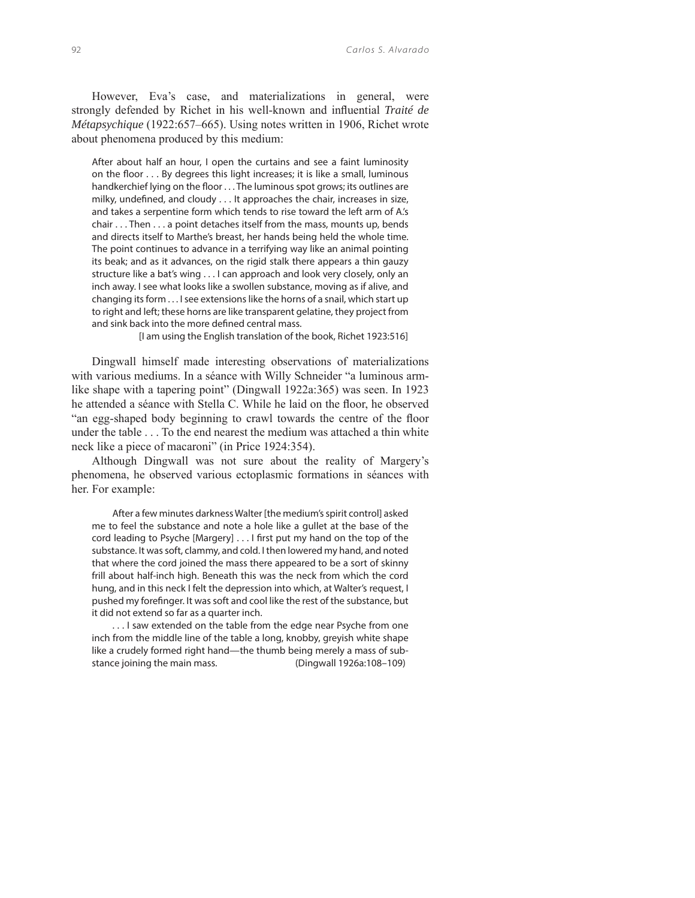However, Eva's case, and materializations in general, were strongly defended by Richet in his well-known and influential *Traité de Métapsychique* (1922:657–665). Using notes written in 1906, Richet wrote about phenomena produced by this medium:

After about half an hour, I open the curtains and see a faint luminosity on the floor  $\dots$  By degrees this light increases; it is like a small, luminous handkerchief lying on the floor . . . The luminous spot grows; its outlines are milky, undefined, and cloudy . . . It approaches the chair, increases in size, and takes a serpentine form which tends to rise toward the left arm of A.'s chair . . . Then . . . a point detaches itself from the mass, mounts up, bends and directs itself to Marthe's breast, her hands being held the whole time. The point continues to advance in a terrifying way like an animal pointing its beak; and as it advances, on the rigid stalk there appears a thin gauzy structure like a bat's wing . . . I can approach and look very closely, only an inch away. I see what looks like a swollen substance, moving as if alive, and changing its form . . . I see extensions like the horns of a snail, which start up to right and left; these horns are like transparent gelatine, they project from and sink back into the more defined central mass.

[I am using the English translation of the book, Richet 1923:516]

Dingwall himself made interesting observations of materializations with various mediums. In a séance with Willy Schneider "a luminous armlike shape with a tapering point" (Dingwall 1922a:365) was seen. In 1923 he attended a séance with Stella C. While he laid on the floor, he observed "an egg-shaped body beginning to crawl towards the centre of the floor under the table . . . To the end nearest the medium was attached a thin white neck like a piece of macaroni" (in Price 1924:354).

Although Dingwall was not sure about the reality of Margery's phenomena, he observed various ectoplasmic formations in séances with her. For example:

After a few minutes darkness Walter [the medium's spirit control] asked me to feel the substance and note a hole like a gullet at the base of the cord leading to Psyche [Margery] . . . I first put my hand on the top of the substance. It was soft, clammy, and cold. I then lowered my hand, and noted that where the cord joined the mass there appeared to be a sort of skinny frill about half-inch high. Beneath this was the neck from which the cord hung, and in this neck I felt the depression into which, at Walter's request, I pushed my forefinger. It was soft and cool like the rest of the substance, but it did not extend so far as a quarter inch.

. . . I saw extended on the table from the edge near Psyche from one inch from the middle line of the table a long, knobby, greyish white shape like a crudely formed right hand—the thumb being merely a mass of substance joining the main mass. (Dingwall 1926a:108–109)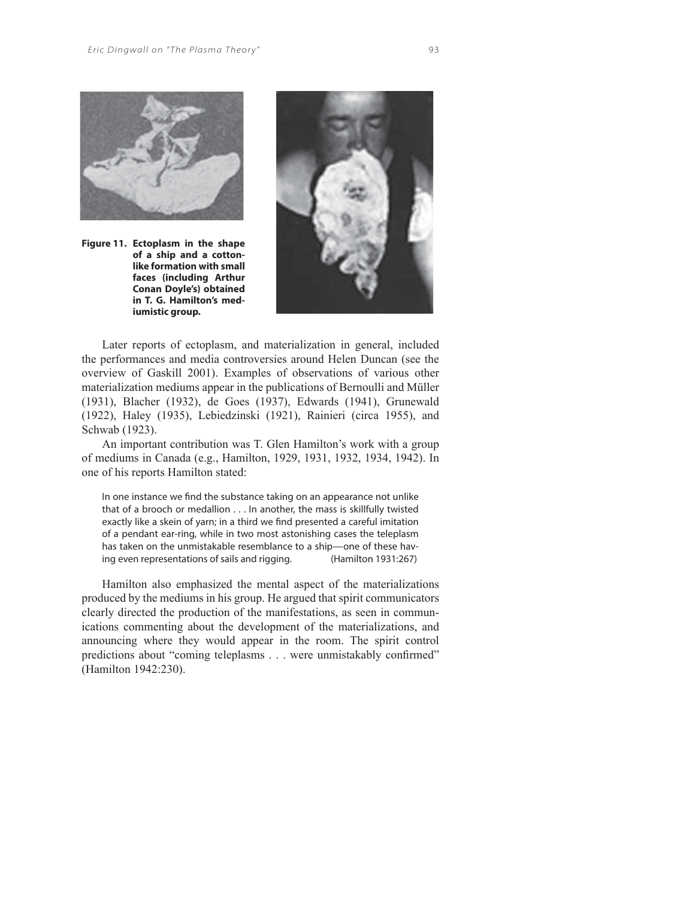

**Figure 11. Ectoplasm in the shape of a ship and a cottonlike formation with small faces (including Arthur Conan Doyle's) obtained in T. G. Hamilton's mediumistic group.**



Later reports of ectoplasm, and materialization in general, included the performances and media controversies around Helen Duncan (see the overview of Gaskill 2001). Examples of observations of various other materialization mediums appear in the publications of Bernoulli and Müller (1931), Blacher (1932), de Goes (1937), Edwards (1941), Grunewald (1922), Haley (1935), Lebiedzinski (1921), Rainieri (circa 1955), and Schwab (1923).

An important contribution was T. Glen Hamilton's work with a group of mediums in Canada (e.g., Hamilton, 1929, 1931, 1932, 1934, 1942). In one of his reports Hamilton stated:

In one instance we find the substance taking on an appearance not unlike that of a brooch or medallion . . . In another, the mass is skillfully twisted exactly like a skein of yarn; in a third we find presented a careful imitation of a pendant ear-ring, while in two most astonishing cases the teleplasm has taken on the unmistakable resemblance to a ship—one of these having even representations of sails and rigging. (Hamilton 1931:267)

Hamilton also emphasized the mental aspect of the materializations produced by the mediums in his group. He argued that spirit communicators clearly directed the production of the manifestations, as seen in communications commenting about the development of the materializations, and announcing where they would appear in the room. The spirit control predictions about "coming teleplasms . . . were unmistakably confirmed" (Hamilton 1942:230).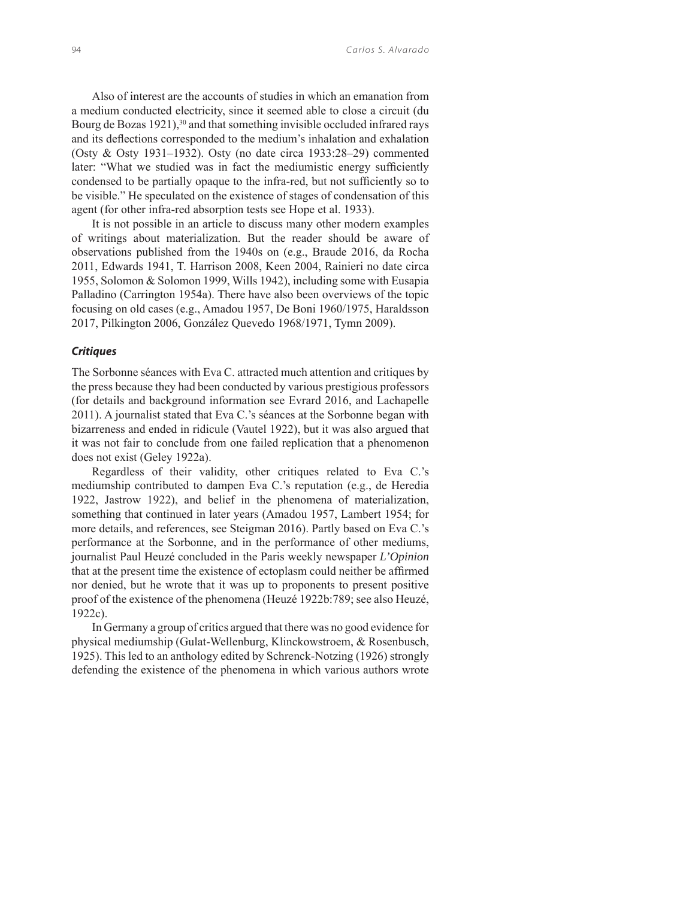Also of interest are the accounts of studies in which an emanation from a medium conducted electricity, since it seemed able to close a circuit (du Bourg de Bozas 1921),<sup>30</sup> and that something invisible occluded infrared rays and its deflections corresponded to the medium's inhalation and exhalation (Osty & Osty 1931–1932). Osty (no date circa 1933:28–29) commented later: "What we studied was in fact the mediumistic energy sufficiently condensed to be partially opaque to the infra-red, but not sufficiently so to be visible." He speculated on the existence of stages of condensation of this agent (for other infra-red absorption tests see Hope et al. 1933).

It is not possible in an article to discuss many other modern examples of writings about materialization. But the reader should be aware of observations published from the 1940s on (e.g., Braude 2016, da Rocha 2011, Edwards 1941, T. Harrison 2008, Keen 2004, Rainieri no date circa 1955, Solomon & Solomon 1999, Wills 1942), including some with Eusapia Palladino (Carrington 1954a). There have also been overviews of the topic focusing on old cases (e.g., Amadou 1957, De Boni 1960/1975, Haraldsson 2017, Pilkington 2006, González Quevedo 1968/1971, Tymn 2009).

## *Critiques*

The Sorbonne séances with Eva C. attracted much attention and critiques by the press because they had been conducted by various prestigious professors (for details and background information see Evrard 2016, and Lachapelle 2011). A journalist stated that Eva C.'s séances at the Sorbonne began with bizarreness and ended in ridicule (Vautel 1922), but it was also argued that it was not fair to conclude from one failed replication that a phenomenon does not exist (Geley 1922a).

Regardless of their validity, other critiques related to Eva C.'s mediumship contributed to dampen Eva C.'s reputation (e.g., de Heredia 1922, Jastrow 1922), and belief in the phenomena of materialization, something that continued in later years (Amadou 1957, Lambert 1954; for more details, and references, see Steigman 2016). Partly based on Eva C.'s performance at the Sorbonne, and in the performance of other mediums, journalist Paul Heuzé concluded in the Paris weekly newspaper *L'Opinion*  that at the present time the existence of ectoplasm could neither be affirmed nor denied, but he wrote that it was up to proponents to present positive proof of the existence of the phenomena (Heuzé 1922b:789; see also Heuzé, 1922c).

In Germany a group of critics argued that there was no good evidence for physical mediumship (Gulat-Wellenburg, Klinckowstroem, & Rosenbusch, 1925). This led to an anthology edited by Schrenck-Notzing (1926) strongly defending the existence of the phenomena in which various authors wrote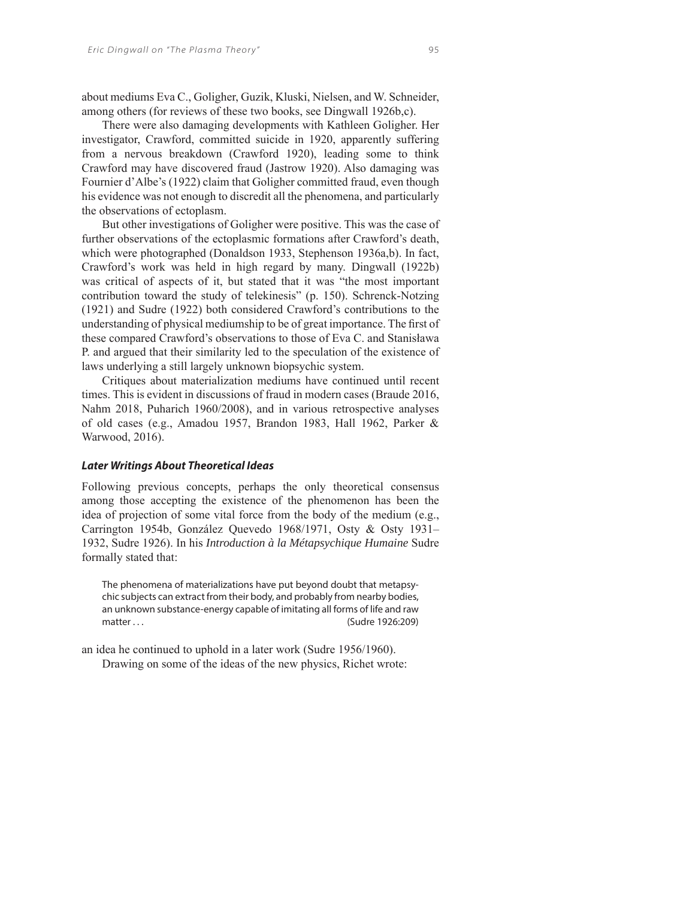about mediums Eva C., Goligher, Guzik, Kluski, Nielsen, and W. Schneider, among others (for reviews of these two books, see Dingwall 1926b,c).

There were also damaging developments with Kathleen Goligher. Her investigator, Crawford, committed suicide in 1920, apparently suffering from a nervous breakdown (Crawford 1920), leading some to think Crawford may have discovered fraud (Jastrow 1920). Also damaging was Fournier d'Albe's (1922) claim that Goligher committed fraud, even though his evidence was not enough to discredit all the phenomena, and particularly the observations of ectoplasm.

But other investigations of Goligher were positive. This was the case of further observations of the ectoplasmic formations after Crawford's death, which were photographed (Donaldson 1933, Stephenson 1936a,b). In fact, Crawford's work was held in high regard by many. Dingwall (1922b) was critical of aspects of it, but stated that it was "the most important contribution toward the study of telekinesis" (p. 150). Schrenck-Notzing (1921) and Sudre (1922) both considered Crawford's contributions to the understanding of physical mediumship to be of great importance. The first of these compared Crawford's observations to those of Eva C. and Stanisława P. and argued that their similarity led to the speculation of the existence of laws underlying a still largely unknown biopsychic system.

Critiques about materialization mediums have continued until recent times. This is evident in discussions of fraud in modern cases (Braude 2016, Nahm 2018, Puharich 1960/2008), and in various retrospective analyses of old cases (e.g., Amadou 1957, Brandon 1983, Hall 1962, Parker & Warwood, 2016).

#### *Later Writings About Theoretical Ideas*

Following previous concepts, perhaps the only theoretical consensus among those accepting the existence of the phenomenon has been the idea of projection of some vital force from the body of the medium (e.g., Carrington 1954b, González Quevedo 1968/1971, Osty & Osty 1931– 1932, Sudre 1926). In his *Introduction à la Métapsychique Humaine* Sudre formally stated that:

The phenomena of materializations have put beyond doubt that metapsychic subjects can extract from their body, and probably from nearby bodies, an unknown substance-energy capable of imitating all forms of life and raw matter . . . (Sudre 1926:209)

an idea he continued to uphold in a later work (Sudre 1956/1960). Drawing on some of the ideas of the new physics, Richet wrote: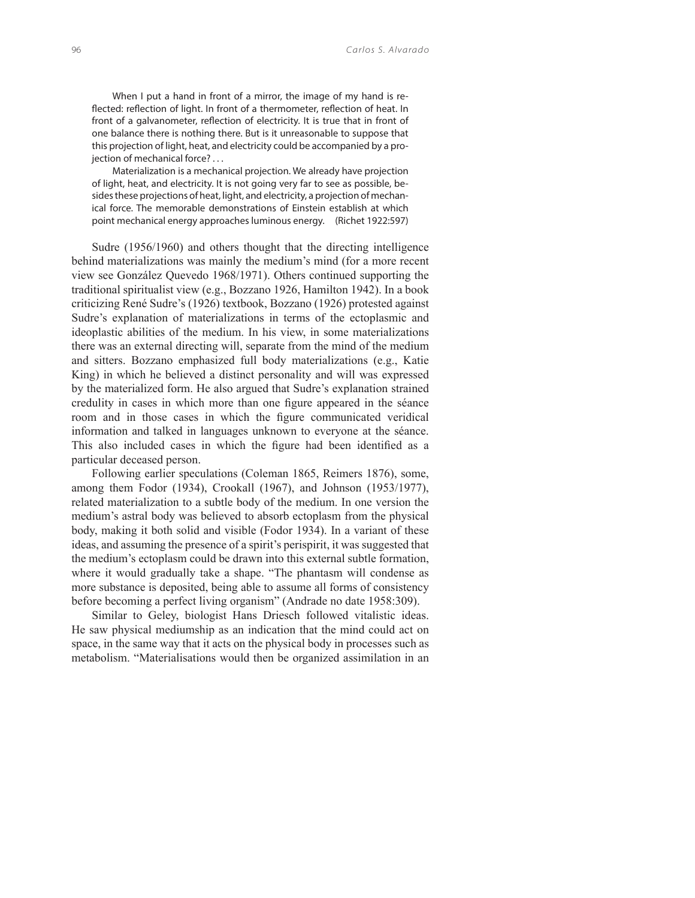When I put a hand in front of a mirror, the image of my hand is reflected: reflection of light. In front of a thermometer, reflection of heat. In front of a galvanometer, reflection of electricity. It is true that in front of one balance there is nothing there. But is it unreasonable to suppose that this projection of light, heat, and electricity could be accompanied by a projection of mechanical force? . . .

Materialization is a mechanical projection. We already have projection of light, heat, and electricity. It is not going very far to see as possible, besides these projections of heat, light, and electricity, a projection of mechanical force. The memorable demonstrations of Einstein establish at which point mechanical energy approaches luminous energy. (Richet 1922:597)

Sudre (1956/1960) and others thought that the directing intelligence behind materializations was mainly the medium's mind (for a more recent view see González Quevedo 1968/1971). Others continued supporting the traditional spiritualist view (e.g., Bozzano 1926, Hamilton 1942). In a book criticizing René Sudre's (1926) textbook, Bozzano (1926) protested against Sudre's explanation of materializations in terms of the ectoplasmic and ideoplastic abilities of the medium. In his view, in some materializations there was an external directing will, separate from the mind of the medium and sitters. Bozzano emphasized full body materializations (e.g., Katie King) in which he believed a distinct personality and will was expressed by the materialized form. He also argued that Sudre's explanation strained credulity in cases in which more than one figure appeared in the séance room and in those cases in which the figure communicated veridical information and talked in languages unknown to everyone at the séance. This also included cases in which the figure had been identified as a particular deceased person.

Following earlier speculations (Coleman 1865, Reimers 1876), some, among them Fodor (1934), Crookall (1967), and Johnson (1953/1977), related materialization to a subtle body of the medium. In one version the medium's astral body was believed to absorb ectoplasm from the physical body, making it both solid and visible (Fodor 1934). In a variant of these ideas, and assuming the presence of a spirit's perispirit, it was suggested that the medium's ectoplasm could be drawn into this external subtle formation, where it would gradually take a shape. "The phantasm will condense as more substance is deposited, being able to assume all forms of consistency before becoming a perfect living organism" (Andrade no date 1958:309).

Similar to Geley, biologist Hans Driesch followed vitalistic ideas. He saw physical mediumship as an indication that the mind could act on space, in the same way that it acts on the physical body in processes such as metabolism. "Materialisations would then be organized assimilation in an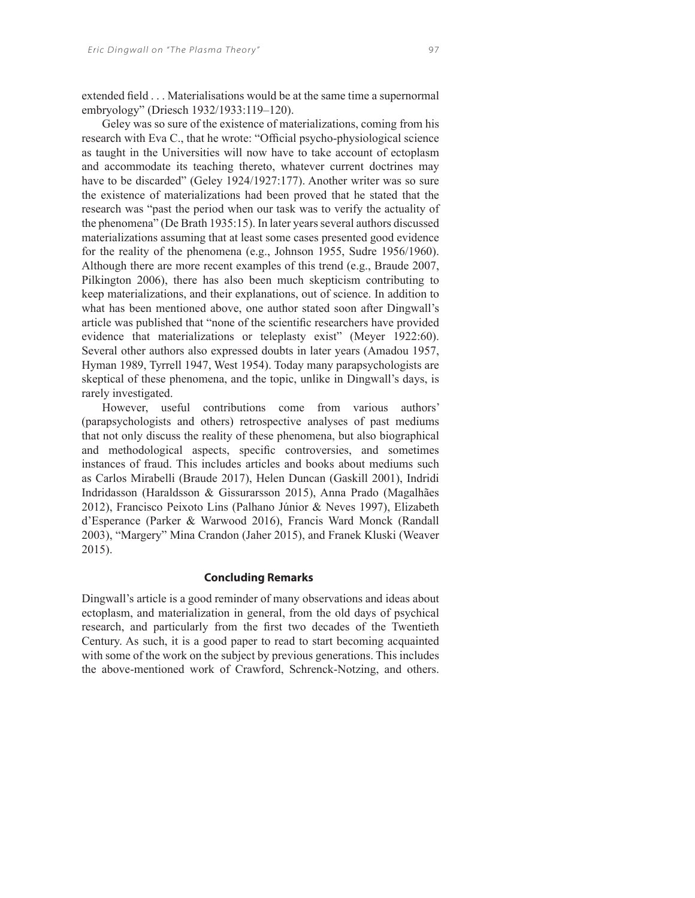extended field . . . Materialisations would be at the same time a supernormal embryology" (Driesch 1932/1933:119–120).

Geley was so sure of the existence of materializations, coming from his research with Eva C., that he wrote: "Official psycho-physiological science as taught in the Universities will now have to take account of ectoplasm and accommodate its teaching thereto, whatever current doctrines may have to be discarded" (Geley 1924/1927:177). Another writer was so sure the existence of materializations had been proved that he stated that the research was "past the period when our task was to verify the actuality of the phenomena" (De Brath 1935:15). In later years several authors discussed materializations assuming that at least some cases presented good evidence for the reality of the phenomena (e.g., Johnson 1955, Sudre 1956/1960). Although there are more recent examples of this trend (e.g., Braude 2007, Pilkington 2006), there has also been much skepticism contributing to keep materializations, and their explanations, out of science. In addition to what has been mentioned above, one author stated soon after Dingwall's article was published that "none of the scientific researchers have provided evidence that materializations or teleplasty exist" (Meyer 1922:60). Several other authors also expressed doubts in later years (Amadou 1957, Hyman 1989, Tyrrell 1947, West 1954). Today many parapsychologists are skeptical of these phenomena, and the topic, unlike in Dingwall's days, is rarely investigated.

However, useful contributions come from various authors' (parapsychologists and others) retrospective analyses of past mediums that not only discuss the reality of these phenomena, but also biographical and methodological aspects, specific controversies, and sometimes instances of fraud. This includes articles and books about mediums such as Carlos Mirabelli (Braude 2017), Helen Duncan (Gaskill 2001), Indridi Indridasson (Haraldsson & Gissurarsson 2015), Anna Prado (Magalhães 2012), Francisco Peixoto Lins (Palhano Júnior & Neves 1997), Elizabeth d'Esperance (Parker & Warwood 2016), Francis Ward Monck (Randall 2003), "Margery" Mina Crandon (Jaher 2015), and Franek Kluski (Weaver 2015).

#### **Concluding Remarks**

Dingwall's article is a good reminder of many observations and ideas about ectoplasm, and materialization in general, from the old days of psychical research, and particularly from the first two decades of the Twentieth Century. As such, it is a good paper to read to start becoming acquainted with some of the work on the subject by previous generations. This includes the above-mentioned work of Crawford, Schrenck-Notzing, and others.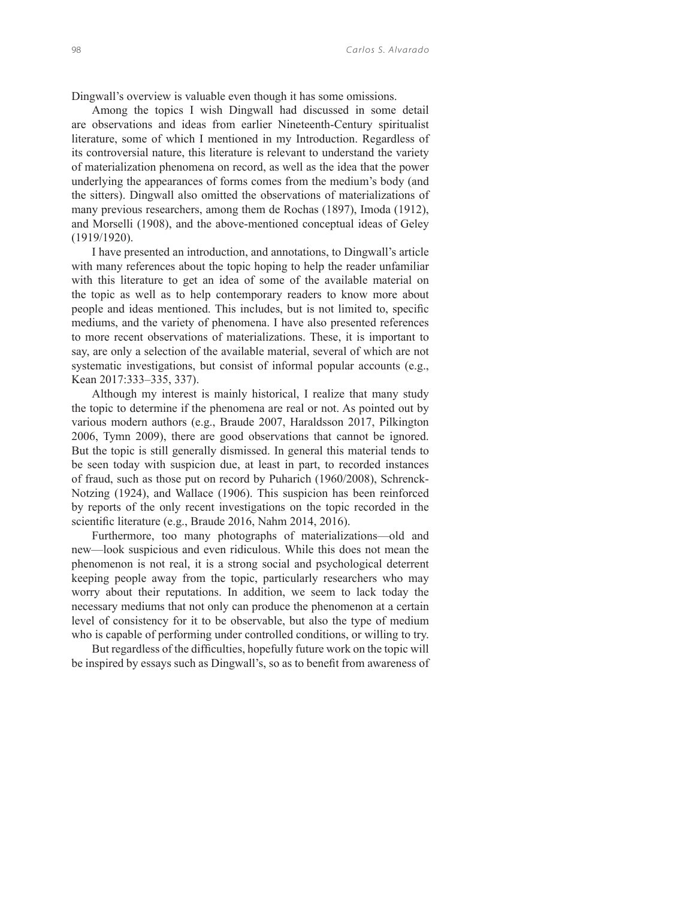Dingwall's overview is valuable even though it has some omissions.

Among the topics I wish Dingwall had discussed in some detail are observations and ideas from earlier Nineteenth-Century spiritualist literature, some of which I mentioned in my Introduction. Regardless of its controversial nature, this literature is relevant to understand the variety of materialization phenomena on record, as well as the idea that the power underlying the appearances of forms comes from the medium's body (and the sitters). Dingwall also omitted the observations of materializations of many previous researchers, among them de Rochas (1897), Imoda (1912), and Morselli (1908), and the above-mentioned conceptual ideas of Geley (1919/1920).

I have presented an introduction, and annotations, to Dingwall's article with many references about the topic hoping to help the reader unfamiliar with this literature to get an idea of some of the available material on the topic as well as to help contemporary readers to know more about people and ideas mentioned. This includes, but is not limited to, specific mediums, and the variety of phenomena. I have also presented references to more recent observations of materializations. These, it is important to say, are only a selection of the available material, several of which are not systematic investigations, but consist of informal popular accounts (e.g., Kean 2017:333–335, 337).

Although my interest is mainly historical, I realize that many study the topic to determine if the phenomena are real or not. As pointed out by various modern authors (e.g., Braude 2007, Haraldsson 2017, Pilkington 2006, Tymn 2009), there are good observations that cannot be ignored. But the topic is still generally dismissed. In general this material tends to be seen today with suspicion due, at least in part, to recorded instances of fraud, such as those put on record by Puharich (1960/2008), Schrenck-Notzing (1924), and Wallace (1906). This suspicion has been reinforced by reports of the only recent investigations on the topic recorded in the scientific literature (e.g., Braude 2016, Nahm 2014, 2016).

Furthermore, too many photographs of materializations—old and new—look suspicious and even ridiculous. While this does not mean the phenomenon is not real, it is a strong social and psychological deterrent keeping people away from the topic, particularly researchers who may worry about their reputations. In addition, we seem to lack today the necessary mediums that not only can produce the phenomenon at a certain level of consistency for it to be observable, but also the type of medium who is capable of performing under controlled conditions, or willing to try.

But regardless of the difficulties, hopefully future work on the topic will be inspired by essays such as Dingwall's, so as to benefit from awareness of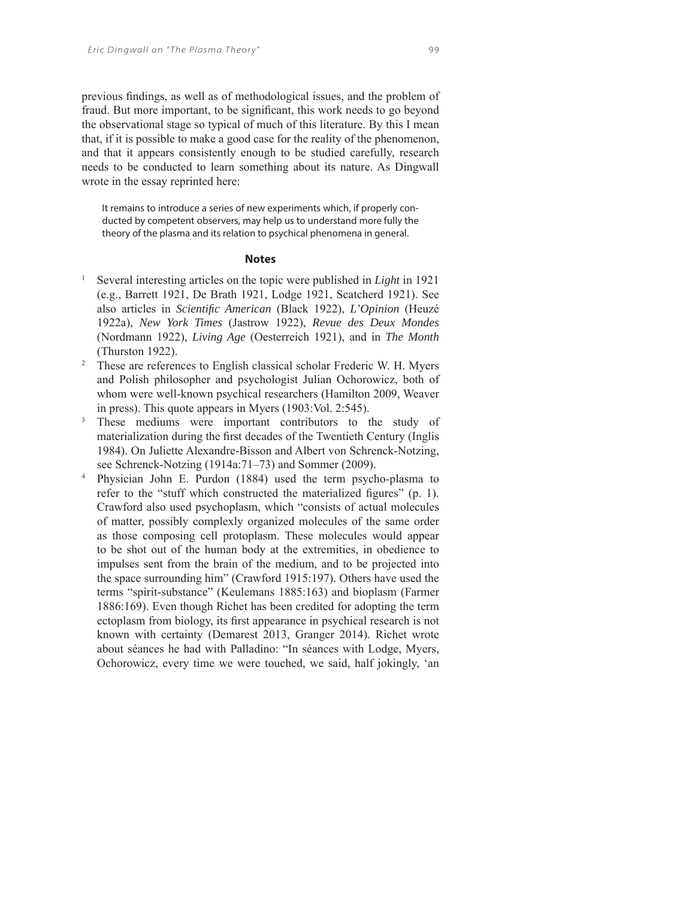previous findings, as well as of methodological issues, and the problem of fraud. But more important, to be significant, this work needs to go beyond the observational stage so typical of much of this literature. By this I mean that, if it is possible to make a good case for the reality of the phenomenon, and that it appears consistently enough to be studied carefully, research needs to be conducted to learn something about its nature. As Dingwall wrote in the essay reprinted here:

It remains to introduce a series of new experiments which, if properly conducted by competent observers, may help us to understand more fully the theory of the plasma and its relation to psychical phenomena in general.

## **Notes**

- 1 Several interesting articles on the topic were published in *Light* in 1921 (e.g., Barrett 1921, De Brath 1921, Lodge 1921, Scatcherd 1921). See also articles in *Scientifi c American* (Black 1922), *L'Opinion* (Heuzé 1922a), *New York Times* (Jastrow 1922), *Revue des Deux Mondes* (Nordmann 1922), *Living Age* (Oesterreich 1921), and in *The Month* (Thurston 1922).
- <sup>2</sup> These are references to English classical scholar Frederic W. H. Myers and Polish philosopher and psychologist Julian Ochorowicz, both of whom were well-known psychical researchers (Hamilton 2009, Weaver in press). This quote appears in Myers (1903:Vol. 2:545).
- 3 These mediums were important contributors to the study of materialization during the first decades of the Twentieth Century (Inglis 1984). On Juliette Alexandre-Bisson and Albert von Schrenck-Notzing, see Schrenck-Notzing (1914a:71–73) and Sommer (2009).
- 4 Physician John E. Purdon (1884) used the term psycho-plasma to refer to the "stuff which constructed the materialized figures"  $(p. 1)$ . Crawford also used psychoplasm, which "consists of actual molecules of matter, possibly complexly organized molecules of the same order as those composing cell protoplasm. These molecules would appear to be shot out of the human body at the extremities, in obedience to impulses sent from the brain of the medium, and to be projected into the space surrounding him" (Crawford 1915:197). Others have used the terms "spirit-substance" (Keulemans 1885:163) and bioplasm (Farmer 1886:169). Even though Richet has been credited for adopting the term ectoplasm from biology, its first appearance in psychical research is not known with certainty (Demarest 2013, Granger 2014). Richet wrote about séances he had with Palladino: "In séances with Lodge, Myers, Ochorowicz, every time we were touched, we said, half jokingly, 'an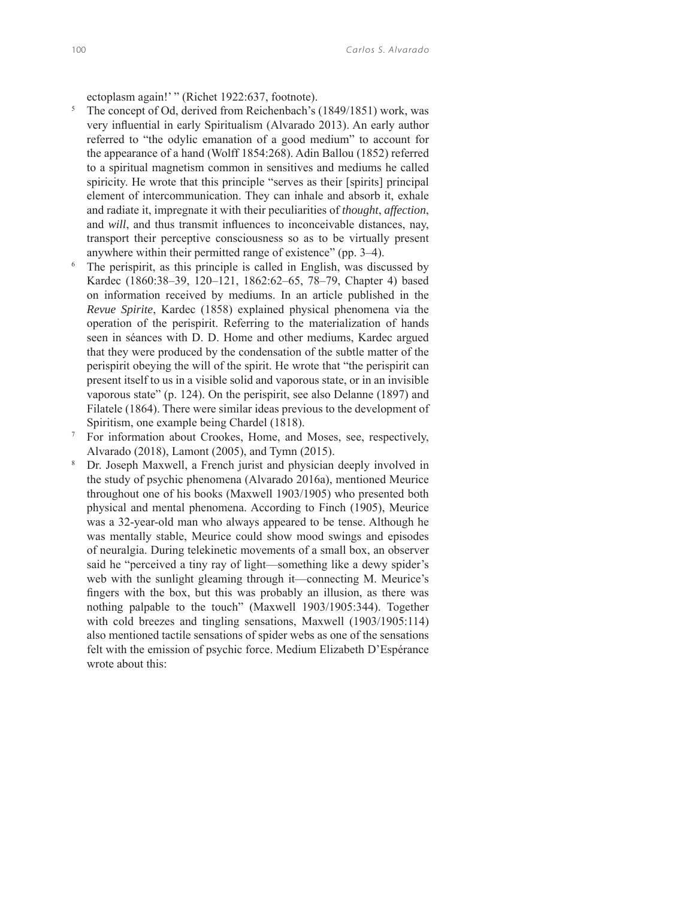ectoplasm again!' " (Richet 1922:637, footnote).

- 5 The concept of Od, derived from Reichenbach's (1849/1851) work, was very influential in early Spiritualism (Alvarado 2013). An early author referred to "the odylic emanation of a good medium" to account for the appearance of a hand (Wolff 1854:268). Adin Ballou (1852) referred to a spiritual magnetism common in sensitives and mediums he called spiricity. He wrote that this principle "serves as their [spirits] principal element of intercommunication. They can inhale and absorb it, exhale and radiate it, impregnate it with their peculiarities of *thought*, *affection*, and *will*, and thus transmit influences to inconceivable distances, nay, transport their perceptive consciousness so as to be virtually present anywhere within their permitted range of existence" (pp.  $3-4$ ).<br><sup>6</sup> The perispirit as this principle is called in English, was disc
- The perispirit, as this principle is called in English, was discussed by Kardec (1860:38–39, 120–121, 1862:62–65, 78–79, Chapter 4) based on information received by mediums. In an article published in the *Revue Spirite*, Kardec (1858) explained physical phenomena via the operation of the perispirit. Referring to the materialization of hands seen in séances with D. D. Home and other mediums, Kardec argued that they were produced by the condensation of the subtle matter of the perispirit obeying the will of the spirit. He wrote that "the perispirit can present itself to us in a visible solid and vaporous state, or in an invisible vaporous state" (p. 124). On the perispirit, see also Delanne (1897) and Filatele (1864). There were similar ideas previous to the development of Spiritism, one example being Chardel (1818).
- 7 For information about Crookes, Home, and Moses, see, respectively, Alvarado (2018), Lamont (2005), and Tymn (2015).<br><sup>8</sup> Dr. Joseph Maxwell, a French jurist and physician
- Dr. Joseph Maxwell, a French jurist and physician deeply involved in the study of psychic phenomena (Alvarado 2016a), mentioned Meurice throughout one of his books (Maxwell 1903/1905) who presented both physical and mental phenomena. According to Finch (1905), Meurice was a 32-year-old man who always appeared to be tense. Although he was mentally stable, Meurice could show mood swings and episodes of neuralgia. During telekinetic movements of a small box, an observer said he "perceived a tiny ray of light—something like a dewy spider's web with the sunlight gleaming through it—connecting M. Meurice's fingers with the box, but this was probably an illusion, as there was nothing palpable to the touch" (Maxwell 1903/1905:344). Together with cold breezes and tingling sensations, Maxwell (1903/1905:114) also mentioned tactile sensations of spider webs as one of the sensations felt with the emission of psychic force. Medium Elizabeth D'Espérance wrote about this: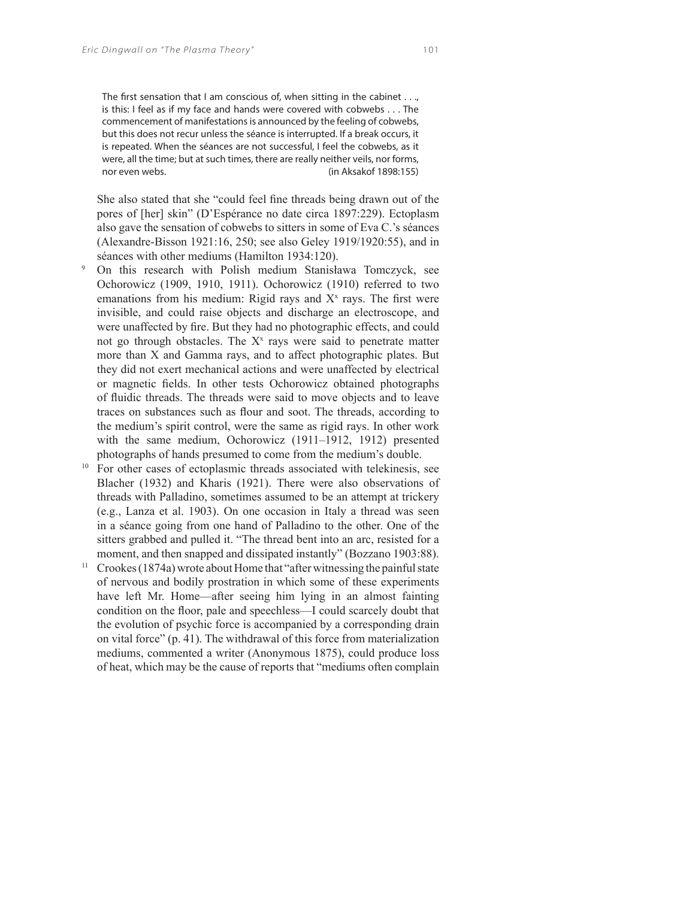The first sensation that I am conscious of, when sitting in the cabinet  $\dots$ , is this: I feel as if my face and hands were covered with cobwebs . . . The commencement of manifestations is announced by the feeling of cobwebs, but this does not recur unless the séance is interrupted. If a break occurs, it is repeated. When the séances are not successful, I feel the cobwebs, as it were, all the time; but at such times, there are really neither veils, nor forms, nor even webs. (in Aksakof 1898:155)

She also stated that she "could feel fine threads being drawn out of the pores of [her] skin" (D'Espérance no date circa 1897:229). Ectoplasm also gave the sensation of cobwebs to sitters in some of Eva C.'s séances (Alexandre-Bisson 1921:16, 250; see also Geley 1919/1920:55), and in séances with other mediums (Hamilton 1934:120).

- 9 On this research with Polish medium Stanisława Tomczyck, see Ochorowicz (1909, 1910, 1911). Ochorowicz (1910) referred to two emanations from his medium: Rigid rays and  $X^x$  rays. The first were invisible, and could raise objects and discharge an electroscope, and were unaffected by fire. But they had no photographic effects, and could not go through obstacles. The  $X^x$  rays were said to penetrate matter more than X and Gamma rays, and to affect photographic plates. But they did not exert mechanical actions and were unaffected by electrical or magnetic fields. In other tests Ochorowicz obtained photographs of fluidic threads. The threads were said to move objects and to leave traces on substances such as flour and soot. The threads, according to the medium's spirit control, were the same as rigid rays. In other work with the same medium, Ochorowicz (1911–1912, 1912) presented photographs of hands presumed to come from the medium's double.
- <sup>10</sup> For other cases of ectoplasmic threads associated with telekinesis, see Blacher (1932) and Kharis (1921). There were also observations of threads with Palladino, sometimes assumed to be an attempt at trickery (e.g., Lanza et al. 1903). On one occasion in Italy a thread was seen in a séance going from one hand of Palladino to the other. One of the sitters grabbed and pulled it. "The thread bent into an arc, resisted for a moment, and then snapped and dissipated instantly" (Bozzano 1903:88).
- $11$  Crookes (1874a) wrote about Home that "after witnessing the painful state of nervous and bodily prostration in which some of these experiments have left Mr. Home—after seeing him lying in an almost fainting condition on the floor, pale and speechless—I could scarcely doubt that the evolution of psychic force is accompanied by a corresponding drain on vital force" (p. 41). The withdrawal of this force from materialization mediums, commented a writer (Anonymous 1875), could produce loss of heat, which may be the cause of reports that "mediums often complain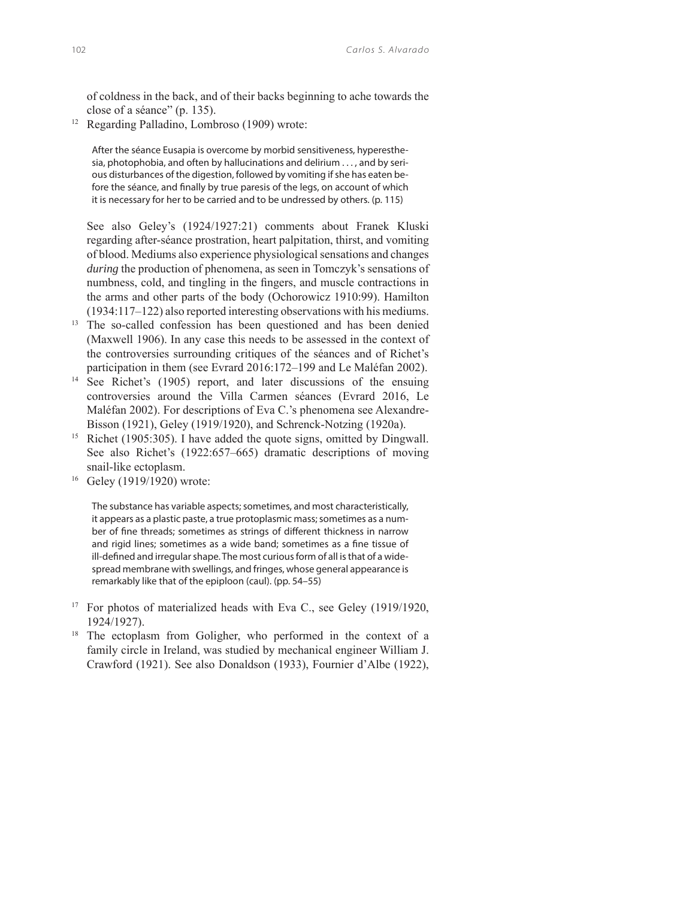of coldness in the back, and of their backs beginning to ache towards the close of a séance" (p. 135).

12 Regarding Palladino, Lombroso (1909) wrote:

After the séance Eusapia is overcome by morbid sensitiveness, hyperesthesia, photophobia, and often by hallucinations and delirium . . . , and by serious disturbances of the digestion, followed by vomiting if she has eaten before the séance, and finally by true paresis of the legs, on account of which it is necessary for her to be carried and to be undressed by others. (p. 115)

 See also Geley's (1924/1927:21) comments about Franek Kluski regarding after-séance prostration, heart palpitation, thirst, and vomiting of blood. Mediums also experience physiological sensations and changes *during* the production of phenomena, as seen in Tomczyk's sensations of numbness, cold, and tingling in the fingers, and muscle contractions in the arms and other parts of the body (Ochorowicz 1910:99). Hamilton (1934:117–122) also reported interesting observations with his mediums.

- <sup>13</sup> The so-called confession has been questioned and has been denied (Maxwell 1906). In any case this needs to be assessed in the context of the controversies surrounding critiques of the séances and of Richet's participation in them (see Evrard 2016:172–199 and Le Maléfan 2002).
- <sup>14</sup> See Richet's (1905) report, and later discussions of the ensuing controversies around the Villa Carmen séances (Evrard 2016, Le Maléfan 2002). For descriptions of Eva C.'s phenomena see Alexandre-Bisson (1921), Geley (1919/1920), and Schrenck-Notzing (1920a).
- <sup>15</sup> Richet (1905:305). I have added the quote signs, omitted by Dingwall. See also Richet's (1922:657–665) dramatic descriptions of moving snail-like ectoplasm.
- 16 Geley (1919/1920) wrote:

The substance has variable aspects; sometimes, and most characteristically, it appears as a plastic paste, a true protoplasmic mass; sometimes as a number of fine threads; sometimes as strings of different thickness in narrow and rigid lines; sometimes as a wide band; sometimes as a fine tissue of ill-defined and irregular shape. The most curious form of all is that of a widespread membrane with swellings, and fringes, whose general appearance is remarkably like that of the epiploon (caul). (pp. 54–55)

- <sup>17</sup> For photos of materialized heads with Eva C., see Geley (1919/1920, 1924/1927).
- <sup>18</sup> The ectoplasm from Goligher, who performed in the context of a family circle in Ireland, was studied by mechanical engineer William J. Crawford (1921). See also Donaldson (1933), Fournier d'Albe (1922),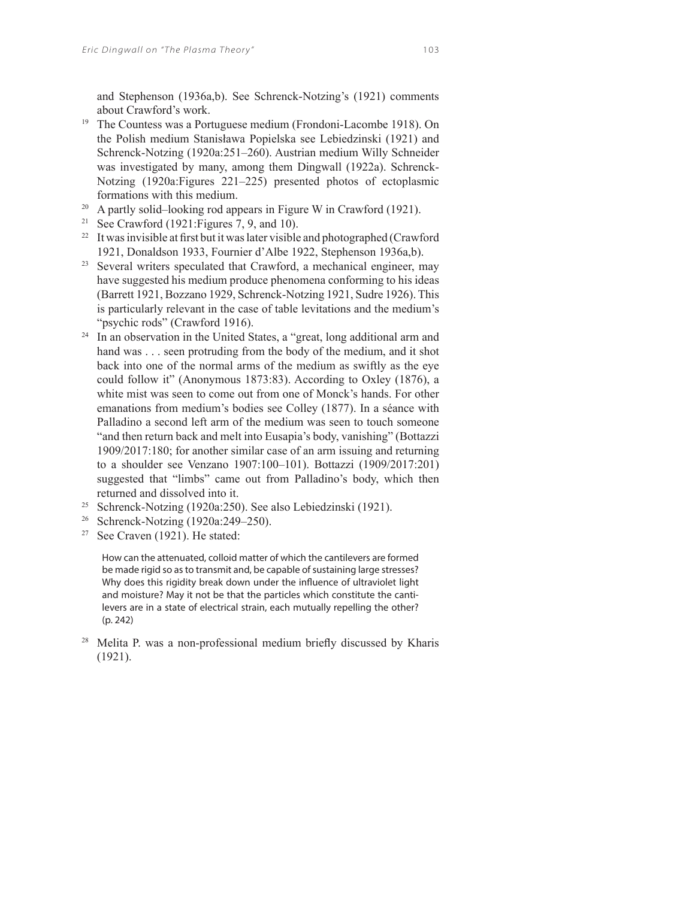and Stephenson (1936a,b). See Schrenck-Notzing's (1921) comments about Crawford's work.

- 19 The Countess was a Portuguese medium (Frondoni-Lacombe 1918). On the Polish medium Stanisława Popielska see Lebiedzinski (1921) and Schrenck-Notzing (1920a:251–260). Austrian medium Willy Schneider was investigated by many, among them Dingwall (1922a). Schrenck-Notzing (1920a:Figures 221–225) presented photos of ectoplasmic formations with this medium. 20 A partly solid–looking rod appears in Figure W in Crawford (1921).
- 
- <sup>21</sup> See Crawford (1921: Figures 7, 9, and 10).
- <sup>22</sup> It was invisible at first but it was later visible and photographed (Crawford 1921, Donaldson 1933, Fournier d'Albe 1922, Stephenson 1936a,b).
- <sup>23</sup> Several writers speculated that Crawford, a mechanical engineer, may have suggested his medium produce phenomena conforming to his ideas (Barrett 1921, Bozzano 1929, Schrenck-Notzing 1921, Sudre 1926). This is particularly relevant in the case of table levitations and the medium's "psychic rods" (Crawford 1916).
- <sup>24</sup> In an observation in the United States, a "great, long additional arm and hand was . . . seen protruding from the body of the medium, and it shot back into one of the normal arms of the medium as swiftly as the eye could follow it" (Anonymous 1873:83). According to Oxley (1876), a white mist was seen to come out from one of Monck's hands. For other emanations from medium's bodies see Colley (1877). In a séance with Palladino a second left arm of the medium was seen to touch someone "and then return back and melt into Eusapia's body, vanishing" (Bottazzi 1909/2017:180; for another similar case of an arm issuing and returning to a shoulder see Venzano 1907:100–101). Bottazzi (1909/2017:201) suggested that "limbs" came out from Palladino's body, which then returned and dissolved into it.
- 25 Schrenck-Notzing (1920a:250). See also Lebiedzinski (1921).
- <sup>26</sup> Schrenck-Notzing (1920a:249–250).
- $27$  See Craven (1921). He stated:

How can the attenuated, colloid matter of which the cantilevers are formed be made rigid so as to transmit and, be capable of sustaining large stresses? Why does this rigidity break down under the influence of ultraviolet light and moisture? May it not be that the particles which constitute the cantilevers are in a state of electrical strain, each mutually repelling the other? (p. 242)

<sup>28</sup> Melita P. was a non-professional medium briefly discussed by Kharis (1921).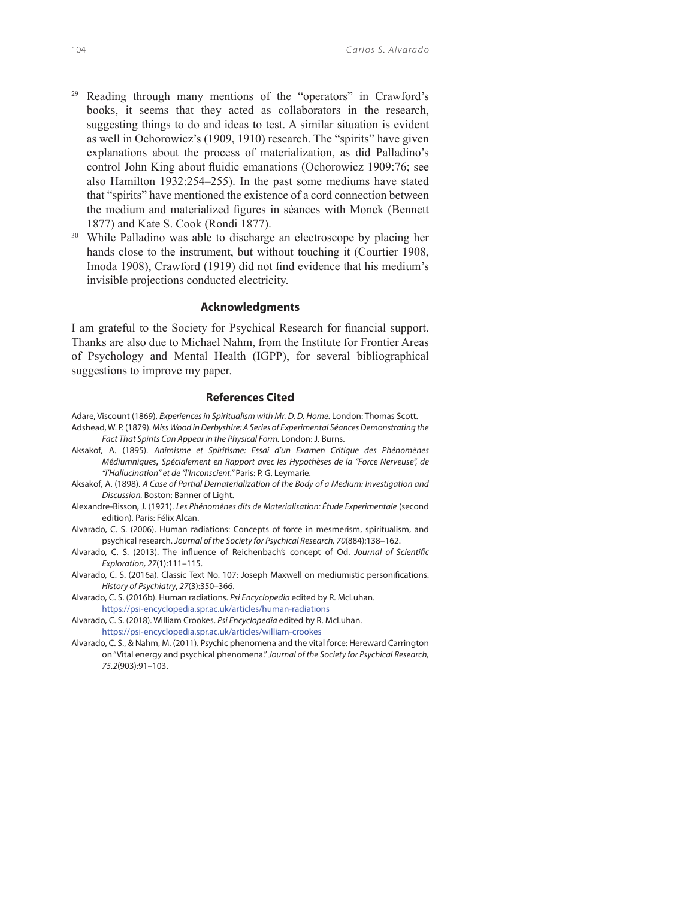- 29 Reading through many mentions of the "operators" in Crawford's books, it seems that they acted as collaborators in the research, suggesting things to do and ideas to test. A similar situation is evident as well in Ochorowicz's (1909, 1910) research. The "spirits" have given explanations about the process of materialization, as did Palladino's control John King about fluidic emanations (Ochorowicz 1909:76; see also Hamilton 1932:254–255). In the past some mediums have stated that "spirits" have mentioned the existence of a cord connection between the medium and materialized figures in séances with Monck (Bennett 1877) and Kate S. Cook (Rondi 1877).<br><sup>30</sup> While Palladino was able to discharge an electroscope by placing her
- hands close to the instrument, but without touching it (Courtier 1908, Imoda 1908), Crawford (1919) did not find evidence that his medium's invisible projections conducted electricity.

#### **Acknowledgments**

I am grateful to the Society for Psychical Research for financial support. Thanks are also due to Michael Nahm, from the Institute for Frontier Areas of Psychology and Mental Health (IGPP), for several bibliographical suggestions to improve my paper.

#### **References Cited**

- Adare, Viscount (1869). Experiences in Spiritualism with Mr. D. D. Home. London: Thomas Scott. Adshead, W. P. (1879). Miss Wood in Derbyshire: A Series of Experimental Séances Demonstrating the Fact That Spirits Can Appear in the Physical Form. London: J. Burns.
- Aksakof, A. (1895). Animisme et Spiritisme: Essai d'un Examen Critique des Phénomènes Médiumniques**,** Spécialement en Rapport avec les Hypothèses de la "Force Nerveuse", de "l'Hallucination" et de "l'Inconscient." Paris: P. G. Leymarie.
- Aksakof, A. (1898). A Case of Partial Dematerialization of the Body of a Medium: Investigation and Discussion. Boston: Banner of Light.
- Alexandre-Bisson, J. (1921). Les Phénomènes dits de Materialisation: Étude Experimentale (second edition). Paris: Félix Alcan.
- Alvarado, C. S. (2006). Human radiations: Concepts of force in mesmerism, spiritualism, and psychical research. Journal of the Society for Psychical Research, 70(884):138–162.
- Alvarado, C. S. (2013). The influence of Reichenbach's concept of Od. Journal of Scientific Exploration, 27(1):111–115.
- Alvarado, C. S. (2016a). Classic Text No. 107: Joseph Maxwell on mediumistic personifications. History of Psychiatry, 27(3):350–366.
- Alvarado, C. S. (2016b). Human radiations. Psi Encyclopedia edited by R. McLuhan.
- https://psi-encyclopedia.spr.ac.uk/articles/human-radiations Alvarado, C. S. (2018). William Crookes. Psi Encyclopedia edited by R. McLuhan.
- https://psi-encyclopedia.spr.ac.uk/articles/william-crookes
- Alvarado, C. S., & Nahm, M. (2011). Psychic phenomena and the vital force: Hereward Carrington on "Vital energy and psychical phenomena." Journal of the Society for Psychical Research, 75.2(903):91–103.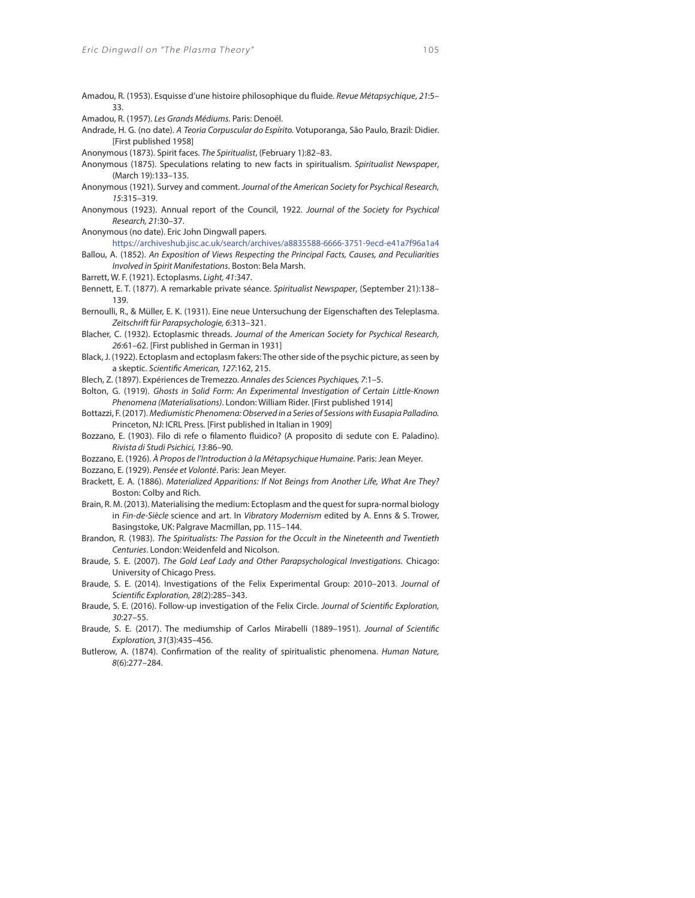- Amadou, R. (1953). Esquisse d'une histoire philosophique du fluide. Revue Métapsychique, 21:5-33.
- Amadou, R. (1957). Les Grands Médiums. Paris: Denoël.
- Andrade, H. G. (no date). A Teoria Corpuscular do Espírito. Votuporanga, São Paulo, Brazil: Didier. [First published 1958]
- Anonymous (1873). Spirit faces. The Spiritualist, (February 1):82–83.
- Anonymous (1875). Speculations relating to new facts in spiritualism. Spiritualist Newspaper, (March 19):133–135.
- Anonymous (1921). Survey and comment. Journal of the American Society for Psychical Research, 15:315–319.
- Anonymous (1923). Annual report of the Council, 1922. Journal of the Society for Psychical Research, 21:30–37.
- Anonymous (no date). Eric John Dingwall papers.
	- https://archiveshub.jisc.ac.uk/search/archives/a8835588-6666-3751-9ecd-e41a7f96a1a4
- Ballou, A. (1852). An Exposition of Views Respecting the Principal Facts, Causes, and Peculiarities Involved in Spirit Manifestations. Boston: Bela Marsh.
- Barrett, W. F. (1921). Ectoplasms. Light, 41:347.
- Bennett, E. T. (1877). A remarkable private séance. Spiritualist Newspaper, (September 21):138– 139.
- Bernoulli, R., & Müller, E. K. (1931). Eine neue Untersuchung der Eigenschaften des Teleplasma. Zeitschrift für Parapsychologie, 6:313–321.
- Blacher, C. (1932). Ectoplasmic threads. Journal of the American Society for Psychical Research, 26:61–62. [First published in German in 1931]
- Black, J. (1922). Ectoplasm and ectoplasm fakers: The other side of the psychic picture, as seen by a skeptic. Scientific American, 127:162, 215.
- Blech, Z. (1897). Expériences de Tremezzo. Annales des Sciences Psychiques, 7:1–5.
- Bolton, G. (1919). Ghosts in Solid Form: An Experimental Investigation of Certain Little-Known Phenomena (Materialisations). London: William Rider. [First published 1914]
- Bottazzi, F. (2017). Mediumistic Phenomena: Observed in a Series of Sessions with Eusapia Palladino. Princeton, NJ: ICRL Press. [First published in Italian in 1909]
- Bozzano, E. (1903). Filo di refe o filamento fluidico? (A proposito di sedute con E. Paladino). Rivista di Studi Psichici, 13:86–90.
- Bozzano, E. (1926). À Propos de l'Introduction à la Métapsychique Humaine. Paris: Jean Meyer.
- Bozzano, E. (1929). Pensée et Volonté. Paris: Jean Meyer.
- Brackett, E. A. (1886). Materialized Apparitions: If Not Beings from Another Life, What Are They? Boston: Colby and Rich.
- Brain, R. M. (2013). Materialising the medium: Ectoplasm and the quest for supra-normal biology in Fin-de-Siècle science and art. In Vibratory Modernism edited by A. Enns & S. Trower, Basingstoke, UK: Palgrave Macmillan, pp. 115–144.
- Brandon, R. (1983). The Spiritualists: The Passion for the Occult in the Nineteenth and Twentieth Centuries. London: Weidenfeld and Nicolson.
- Braude, S. E. (2007). The Gold Leaf Lady and Other Parapsychological Investigations. Chicago: University of Chicago Press.
- Braude, S. E. (2014). Investigations of the Felix Experimental Group: 2010–2013. Journal of Scientific Exploration, 28(2):285-343.
- Braude, S. E. (2016). Follow-up investigation of the Felix Circle. Journal of Scientific Exploration, 30:27–55.
- Braude, S. E. (2017). The mediumship of Carlos Mirabelli (1889-1951). Journal of Scientific Exploration, 31(3):435–456.
- Butlerow, A. (1874). Confirmation of the reality of spiritualistic phenomena. Human Nature, 8(6):277–284.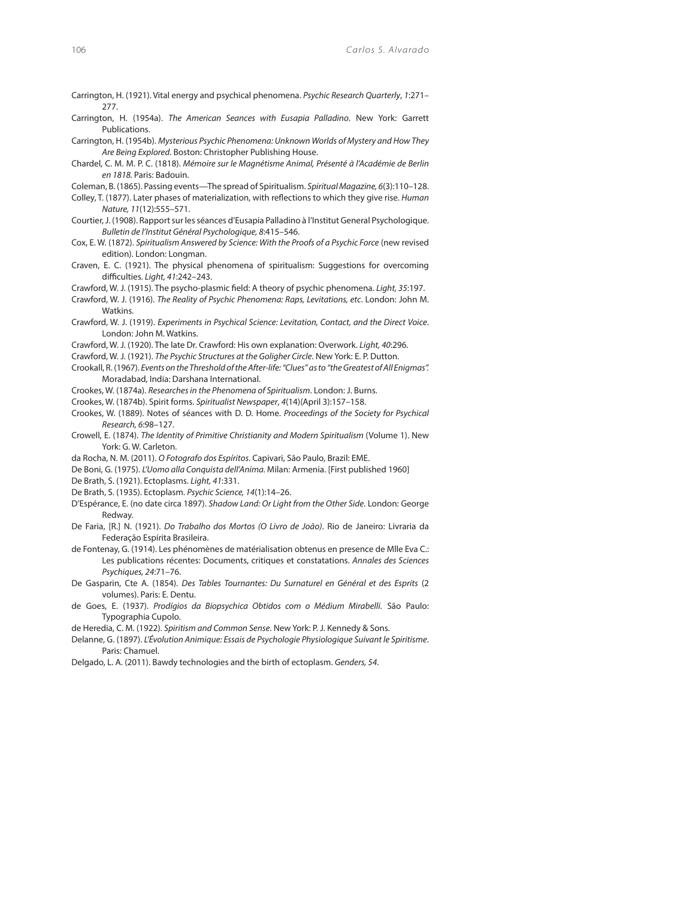- Carrington, H. (1921). Vital energy and psychical phenomena. Psychic Research Quarterly, 1:271– 277.
- Carrington, H. (1954a). The American Seances with Eusapia Palladino. New York: Garrett Publications.
- Carrington, H. (1954b). Mysterious Psychic Phenomena: Unknown Worlds of Mystery and How They Are Being Explored. Boston: Christopher Publishing House.
- Chardel, C. M. M. P. C. (1818). Mémoire sur le Magnétisme Animal, Présenté à l'Académie de Berlin en 1818. Paris: Badouin.

Coleman, B. (1865). Passing events—The spread of Spiritualism. Spiritual Magazine, 6(3):110–128.

- Colley, T. (1877). Later phases of materialization, with reflections to which they give rise. Human Nature, 11(12):555–571.
- Courtier, J. (1908). Rapport sur les séances d'Eusapia Palladino à l'Institut General Psychologique. Bulletin de l'Institut Général Psychologique, 8:415–546.
- Cox, E. W. (1872). Spiritualism Answered by Science: With the Proofs of a Psychic Force (new revised edition). London: Longman.
- Craven, E. C. (1921). The physical phenomena of spiritualism: Suggestions for overcoming difficulties. Light, 41:242-243.
- Crawford, W. J. (1915). The psycho-plasmic field: A theory of psychic phenomena. Light, 35:197.
- Crawford, W. J. (1916). The Reality of Psychic Phenomena: Raps, Levitations, etc. London: John M. Watkins.
- Crawford, W. J. (1919). Experiments in Psychical Science: Levitation, Contact, and the Direct Voice. London: John M. Watkins.
- Crawford, W. J. (1920). The late Dr. Crawford: His own explanation: Overwork. Light, 40:296.

Crawford, W. J. (1921). The Psychic Structures at the Goligher Circle. New York: E. P. Dutton.

- Crookall, R. (1967). Events on the Threshold of the After-life: "Clues" as to "the Greatest of All Enigmas". Moradabad, India: Darshana International.
- Crookes, W. (1874a). Researches in the Phenomena of Spiritualism. London: J. Burns.
- Crookes, W. (1874b). Spirit forms. Spiritualist Newspaper, 4(14)(April 3):157–158.
- Crookes, W. (1889). Notes of séances with D. D. Home. Proceedings of the Society for Psychical Research, 6:98–127.
- Crowell, E. (1874). The Identity of Primitive Christianity and Modern Spiritualism (Volume 1). New York: G. W. Carleton.
- da Rocha, N. M. (2011). O Fotografo dos Espíritos. Capivari, São Paulo, Brazil: EME.
- De Boni, G. (1975). L'Uomo alla Conquista dell'Anima. Milan: Armenia. [First published 1960]
- De Brath, S. (1921). Ectoplasms. Light, 41:331.
- De Brath, S. (1935). Ectoplasm. Psychic Science, 14(1):14–26.
- D'Espérance, E. (no date circa 1897). Shadow Land: Or Light from the Other Side. London: George Redway.
- De Faria, [R.] N. (1921). Do Trabalho dos Mortos (O Livro de João). Rio de Janeiro: Livraria da Federação Espírita Brasileira.
- de Fontenay, G. (1914). Les phénomènes de matérialisation obtenus en presence de Mlle Eva C.: Les publications récentes: Documents, critiques et constatations. Annales des Sciences Psychiques, 24:71–76.
- De Gasparin, Cte A. (1854). Des Tables Tournantes: Du Surnaturel en Général et des Esprits (2 volumes). Paris: E. Dentu.
- de Goes, E. (1937). Prodígios da Biopsychica Obtidos com o Médium Mirabelli. São Paulo: Typographia Cupolo.
- de Heredia, C. M. (1922). Spiritism and Common Sense. New York: P. J. Kennedy & Sons.
- Delanne, G. (1897). L'Évolution Animique: Essais de Psychologie Physiologique Suivant le Spiritisme. Paris: Chamuel.
- Delgado, L. A. (2011). Bawdy technologies and the birth of ectoplasm. Genders, 54.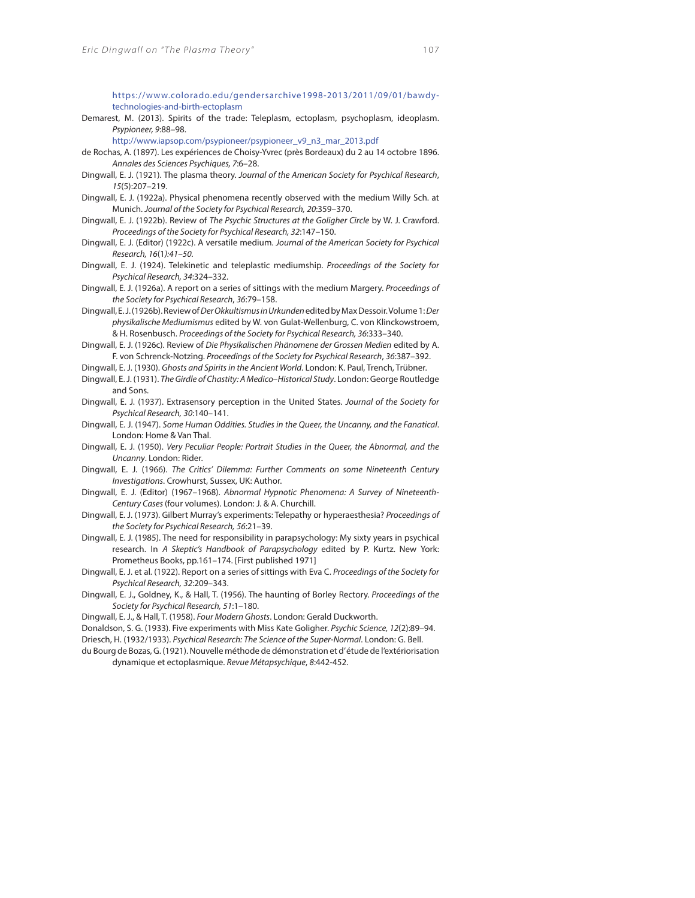https://www.colorado.edu/gendersarchive1998-2013/2011/09/01/bawdytechnologies-and-birth-ectoplasm

Demarest, M. (2013). Spirits of the trade: Teleplasm, ectoplasm, psychoplasm, ideoplasm. Psypioneer, 9:88–98.

http://www.iapsop.com/psypioneer/psypioneer\_v9\_n3\_mar\_2013.pdf

- de Rochas, A. (1897). Les expériences de Choisy-Yvrec (près Bordeaux) du 2 au 14 octobre 1896. Annales des Sciences Psychiques, 7:6–28.
- Dingwall, E. J. (1921). The plasma theory. Journal of the American Society for Psychical Research, 15(5):207–219.
- Dingwall, E. J. (1922a). Physical phenomena recently observed with the medium Willy Sch. at Munich. Journal of the Society for Psychical Research, 20:359–370.
- Dingwall, E. J. (1922b). Review of The Psychic Structures at the Goligher Circle by W. J. Crawford. Proceedings of the Society for Psychical Research, 32:147–150.
- Dingwall, E. J. (Editor) (1922c). A versatile medium. Journal of the American Society for Psychical Research, 16(1):41–50.
- Dingwall, E. J. (1924). Telekinetic and teleplastic mediumship. Proceedings of the Society for Psychical Research, 34:324–332.
- Dingwall, E. J. (1926a). A report on a series of sittings with the medium Margery. Proceedings of the Society for Psychical Research, 36:79–158.
- Dingwall, E. J. (1926b). Review of Der Okkultismus in Urkunden edited by Max Dessoir. Volume 1: Der physikalische Mediumismus edited by W. von Gulat-Wellenburg, C. von Klinckowstroem, & H. Rosenbusch. Proceedings of the Society for Psychical Research, 36:333–340.
- Dingwall, E. J. (1926c). Review of Die Physikalischen Phänomene der Grossen Medien edited by A. F. von Schrenck-Notzing. Proceedings of the Society for Psychical Research, 36:387–392.
- Dingwall, E. J. (1930). Ghosts and Spirits in the Ancient World. London: K. Paul, Trench, Trübner.
- Dingwall, E. J. (1931). The Girdle of Chastity: A Medico–Historical Study. London: George Routledge and Sons.
- Dingwall, E. J. (1937). Extrasensory perception in the United States. Journal of the Society for Psychical Research, 30:140–141.
- Dingwall, E. J. (1947). Some Human Oddities. Studies in the Queer, the Uncanny, and the Fanatical. London: Home & Van Thal.
- Dingwall, E. J. (1950). Very Peculiar People: Portrait Studies in the Queer, the Abnormal, and the Uncanny. London: Rider.
- Dingwall, E. J. (1966). The Critics' Dilemma: Further Comments on some Nineteenth Century Investigations. Crowhurst, Sussex, UK: Author.
- Dingwall, E. J. (Editor) (1967–1968). Abnormal Hypnotic Phenomena: A Survey of Nineteenth-Century Cases (four volumes). London: J. & A. Churchill.
- Dingwall, E. J. (1973). Gilbert Murray's experiments: Telepathy or hyperaesthesia? Proceedings of the Society for Psychical Research, 56:21–39.
- Dingwall, E. J. (1985). The need for responsibility in parapsychology: My sixty years in psychical research. In A Skeptic's Handbook of Parapsychology edited by P. Kurtz. New York: Prometheus Books, pp.161–174. [First published 1971]
- Dingwall, E. J. et al. (1922). Report on a series of sittings with Eva C. Proceedings of the Society for Psychical Research, 32:209–343.
- Dingwall, E. J., Goldney, K., & Hall, T. (1956). The haunting of Borley Rectory. Proceedings of the Society for Psychical Research, 51:1–180.
- Dingwall, E. J., & Hall, T. (1958). Four Modern Ghosts. London: Gerald Duckworth.
- Donaldson, S. G. (1933). Five experiments with Miss Kate Goligher. Psychic Science, 12(2):89–94. Driesch, H. (1932/1933). Psychical Research: The Science of the Super-Normal. London: G. Bell.
- du Bourg de Bozas, G. (1921). Nouvelle méthode de démonstration et d' étude de l'extériorisation dynamique et ectoplasmique. Revue Métapsychique, 8:442-452.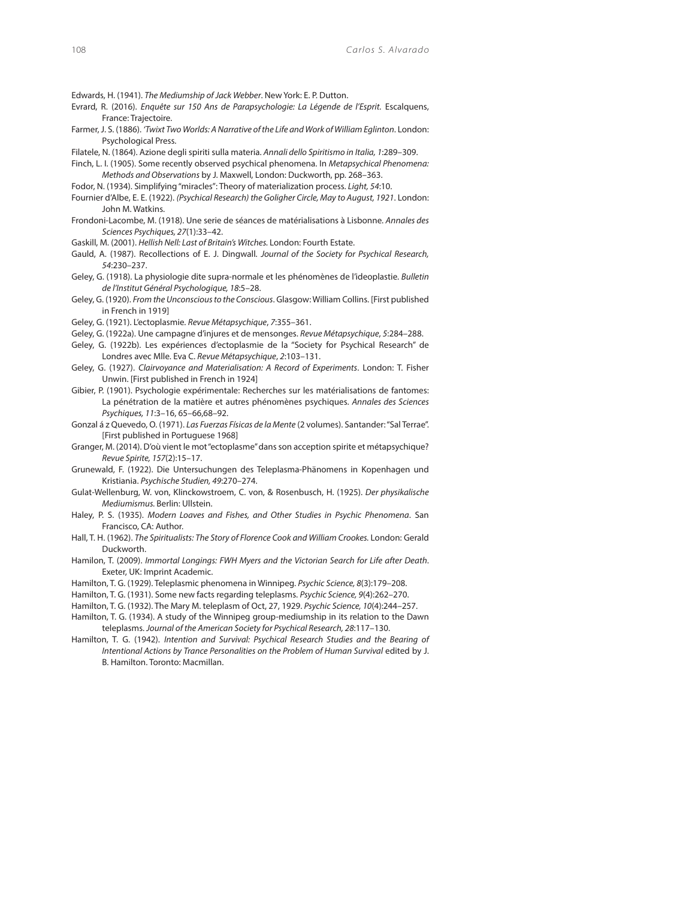- Edwards, H. (1941). The Mediumship of Jack Webber. New York: E. P. Dutton.
- Evrard, R. (2016). Enquête sur 150 Ans de Parapsychologie: La Légende de l'Esprit. Escalquens, France: Trajectoire.
- Farmer, J. S. (1886). 'Twixt Two Worlds: A Narrative of the Life and Work of William Eglinton. London: Psychological Press.
- Filatele, N. (1864). Azione degli spiriti sulla materia. Annali dello Spiritismo in Italia, 1:289–309.
- Finch, L. I. (1905). Some recently observed psychical phenomena. In Metapsychical Phenomena: Methods and Observations by J. Maxwell, London: Duckworth, pp. 268–363.
- Fodor, N. (1934). Simplifying "miracles": Theory of materialization process. Light, 54:10.
- Fournier d'Albe, E. E. (1922). (Psychical Research) the Goligher Circle, May to August, 1921. London: John M. Watkins.
- Frondoni-Lacombe, M. (1918). Une serie de séances de matérialisations à Lisbonne. Annales des Sciences Psychiques, 27(1):33–42.
- Gaskill, M. (2001). Hellish Nell: Last of Britain's Witches. London: Fourth Estate.
- Gauld, A. (1987). Recollections of E. J. Dingwall. Journal of the Society for Psychical Research, 54:230–237.
- Geley, G. (1918). La physiologie dite supra-normale et les phénomènes de l'ideoplastie. Bulletin de l'Institut Général Psychologique, 18:5–28.
- Geley, G. (1920). From the Unconscious to the Conscious. Glasgow: William Collins. [First published in French in 1919]
- Geley, G. (1921). L'ectoplasmie. Revue Métapsychique, 7:355–361.
- Geley, G. (1922a). Une campagne d'injures et de mensonges. Revue Métapsychique, 5:284–288.
- Geley, G. (1922b). Les expériences d'ectoplasmie de la "Society for Psychical Research" de Londres avec Mlle. Eva C. Revue Métapsychique, 2:103–131.
- Geley, G. (1927). Clairvoyance and Materialisation: A Record of Experiments. London: T. Fisher Unwin. [First published in French in 1924]
- Gibier, P. (1901). Psychologie expérimentale: Recherches sur les matérialisations de fantomes: La pénétration de la matière et autres phénomènes psychiques. Annales des Sciences Psychiques, 11:3–16, 65–66,68–92.
- Gonzal á z Quevedo, O. (1971). Las Fuerzas Físicas de la Mente (2 volumes). Santander: "Sal Terrae". [First published in Portuguese 1968]
- Granger, M. (2014). D'où vient le mot "ectoplasme" dans son acception spirite et métapsychique? Revue Spirite, 157(2):15–17.
- Grunewald, F. (1922). Die Untersuchungen des Teleplasma-Phänomens in Kopenhagen und Kristiania. Psychische Studien, 49:270–274.
- Gulat-Wellenburg, W. von, Klinckowstroem, C. von, & Rosenbusch, H. (1925). Der physikalische Mediumismus. Berlin: Ullstein.
- Haley, P. S. (1935). Modern Loaves and Fishes, and Other Studies in Psychic Phenomena. San Francisco, CA: Author.
- Hall, T. H. (1962). The Spiritualists: The Story of Florence Cook and William Crookes. London: Gerald Duckworth.
- Hamilon, T. (2009). Immortal Longings: FWH Myers and the Victorian Search for Life after Death. Exeter, UK: Imprint Academic.
- Hamilton, T. G. (1929). Teleplasmic phenomena in Winnipeg. Psychic Science, 8(3):179–208.
- Hamilton, T. G. (1931). Some new facts regarding teleplasms. Psychic Science, 9(4):262–270.
- Hamilton, T. G. (1932). The Mary M. teleplasm of Oct, 27, 1929. Psychic Science, 10(4):244–257.
- Hamilton, T. G. (1934). A study of the Winnipeg group-mediumship in its relation to the Dawn teleplasms. Journal of the American Society for Psychical Research, 28:117–130.
- Hamilton, T. G. (1942). Intention and Survival: Psychical Research Studies and the Bearing of Intentional Actions by Trance Personalities on the Problem of Human Survival edited by J. B. Hamilton. Toronto: Macmillan.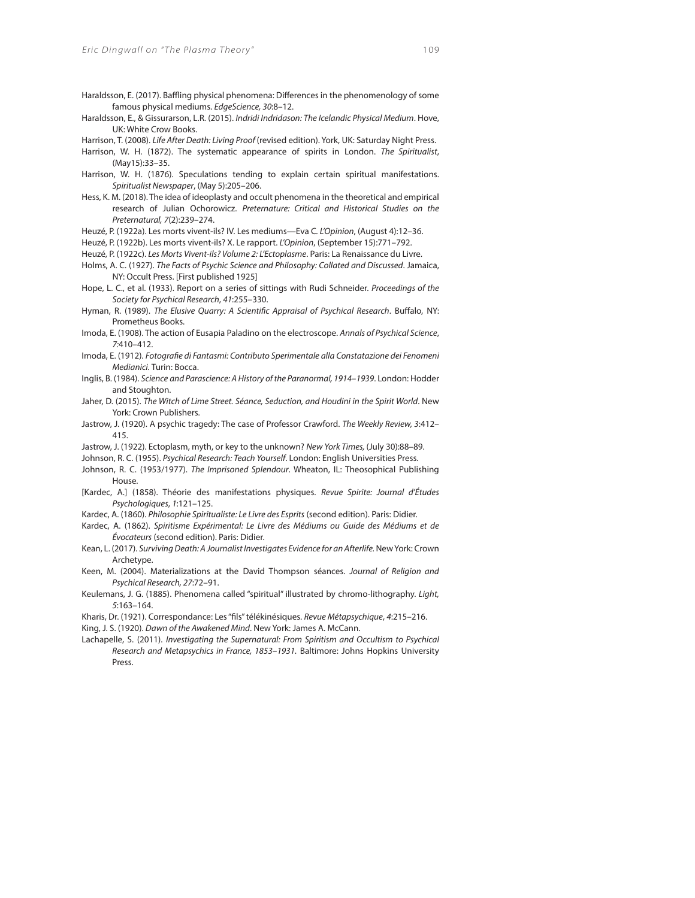- Haraldsson, E. (2017). Baffling physical phenomena: Differences in the phenomenology of some famous physical mediums. EdgeScience, 30:8–12.
- Haraldsson, E., & Gissurarson, L.R. (2015). Indridi Indridason: The Icelandic Physical Medium. Hove, UK: White Crow Books.
- Harrison, T. (2008). Life After Death: Living Proof (revised edition). York, UK: Saturday Night Press.
- Harrison, W. H. (1872). The systematic appearance of spirits in London. The Spiritualist, (May15):33–35.
- Harrison, W. H. (1876). Speculations tending to explain certain spiritual manifestations. Spiritualist Newspaper, (May 5):205–206.
- Hess, K. M. (2018). The idea of ideoplasty and occult phenomena in the theoretical and empirical research of Julian Ochorowicz. Preternature: Critical and Historical Studies on the Preternatural, 7(2):239–274.

Heuzé, P. (1922a). Les morts vivent-ils? IV. Les mediums—Eva C. L'Opinion, (August 4):12–36.

Heuzé, P. (1922b). Les morts vivent-ils? X. Le rapport. L'Opinion, (September 15):771–792.

Heuzé, P. (1922c). Les Morts Vivent-ils? Volume 2: L'Ectoplasme. Paris: La Renaissance du Livre.

- Holms, A. C. (1927). The Facts of Psychic Science and Philosophy: Collated and Discussed. Jamaica, NY: Occult Press. [First published 1925]
- Hope, L. C., et al. (1933). Report on a series of sittings with Rudi Schneider. Proceedings of the Society for Psychical Research, 41:255–330.
- Hyman, R. (1989). The Elusive Quarry: A Scientific Appraisal of Psychical Research. Buffalo, NY: Prometheus Books.
- Imoda, E. (1908). The action of Eusapia Paladino on the electroscope. Annals of Psychical Science, 7:410–412.
- Imoda, E. (1912). Fotografie di Fantasmi: Contributo Sperimentale alla Constatazione dei Fenomeni Medianici. Turin: Bocca.
- Inglis, B. (1984). Science and Parascience: A History of the Paranormal, 1914–1939. London: Hodder and Stoughton.
- Jaher, D. (2015). The Witch of Lime Street. Séance, Seduction, and Houdini in the Spirit World. New York: Crown Publishers.
- Jastrow, J. (1920). A psychic tragedy: The case of Professor Crawford. The Weekly Review, 3:412– 415.
- Jastrow, J. (1922). Ectoplasm, myth, or key to the unknown? New York Times, (July 30):88–89.
- Johnson, R. C. (1955). Psychical Research: Teach Yourself. London: English Universities Press.
- Johnson, R. C. (1953/1977). The Imprisoned Splendour. Wheaton, IL: Theosophical Publishing House.
- [Kardec, A.] (1858). Théorie des manifestations physiques. Revue Spirite: Journal d'Études Psychologiques, 1:121–125.
- Kardec, A. (1860). Philosophie Spiritualiste: Le Livre des Esprits (second edition). Paris: Didier.
- Kardec, A. (1862). Spiritisme Expérimental: Le Livre des Médiums ou Guide des Médiums et de Évocateurs (second edition). Paris: Didier.
- Kean, L. (2017). Surviving Death: A Journalist Investigates Evidence for an Afterlife. New York: Crown Archetype.
- Keen, M. (2004). Materializations at the David Thompson séances. Journal of Religion and Psychical Research, 27:72–91.
- Keulemans, J. G. (1885). Phenomena called "spiritual" illustrated by chromo-lithography. Light, 5:163–164.
- Kharis, Dr. (1921). Correspondance: Les "fils" télékinésiques. Revue Métapsychique, 4:215-216. King, J. S. (1920). Dawn of the Awakened Mind. New York: James A. McCann.
- Lachapelle, S. (2011). Investigating the Supernatural: From Spiritism and Occultism to Psychical
- Research and Metapsychics in France, 1853–1931. Baltimore: Johns Hopkins University Press.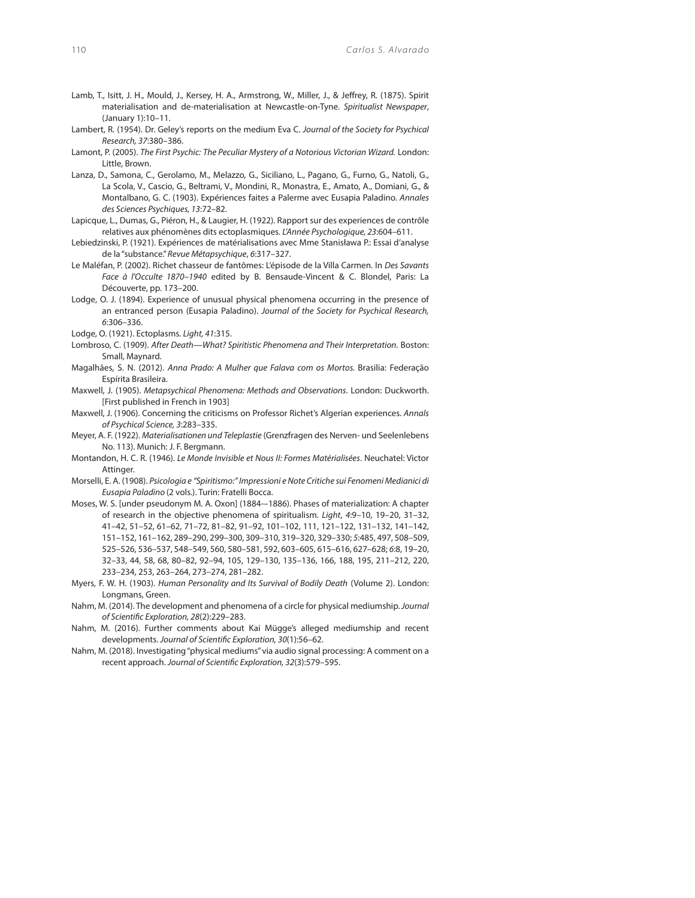- Lamb, T., Isitt, J. H., Mould, J., Kersey, H. A., Armstrong, W., Miller, J., & Jeffrey, R. (1875). Spirit materialisation and de-materialisation at Newcastle-on-Tyne. Spiritualist Newspaper, (January 1):10–11.
- Lambert, R. (1954). Dr. Geley's reports on the medium Eva C. Journal of the Society for Psychical Research, 37:380–386.
- Lamont, P. (2005). The First Psychic: The Peculiar Mystery of a Notorious Victorian Wizard. London: Little, Brown.
- Lanza, D., Samona, C., Gerolamo, M., Melazzo, G., Siciliano, L., Pagano, G., Furno, G., Natoli, G., La Scola, V., Cascio, G., Beltrami, V., Mondini, R., Monastra, E., Amato, A., Domiani, G., & Montalbano, G. C. (1903). Expériences faites a Palerme avec Eusapia Paladino. Annales des Sciences Psychiques, 13:72–82.
- Lapicque, L., Dumas, G., Piéron, H., & Laugier, H. (1922). Rapport sur des experiences de contrôle relatives aux phénomènes dits ectoplasmiques. L'Année Psychologique, 23:604–611.
- Lebiedzinski, P. (1921). Expériences de matérialisations avec Mme Stanisława P.: Essai d'analyse de la "substance." Revue Métapsychique, 6:317–327.
- Le Maléfan, P. (2002). Richet chasseur de fantômes: L'épisode de la Villa Carmen. In Des Savants Face à l'Occulte 1870-1940 edited by B. Bensaude-Vincent & C. Blondel, Paris: La Découverte, pp. 173–200.
- Lodge, O. J. (1894). Experience of unusual physical phenomena occurring in the presence of an entranced person (Eusapia Paladino). Journal of the Society for Psychical Research, 6:306–336.
- Lodge, O. (1921). Ectoplasms. Light, 41:315.
- Lombroso, C. (1909). After Death—What? Spiritistic Phenomena and Their Interpretation. Boston: Small, Maynard.
- Magalhães, S. N. (2012). Anna Prado: A Mulher que Falava com os Mortos. Brasilia: Federação Espírita Brasileira.
- Maxwell, J. (1905). Metapsychical Phenomena: Methods and Observations. London: Duckworth. [First published in French in 1903]
- Maxwell, J. (1906). Concerning the criticisms on Professor Richet's Algerian experiences. Annals of Psychical Science, 3:283–335.
- Meyer, A. F. (1922). Materialisationen und Teleplastie (Grenzfragen des Nerven- und Seelenlebens No. 113). Munich: J. F. Bergmann.
- Montandon, H. C. R. (1946). Le Monde Invisible et Nous II: Formes Matérialisées. Neuchatel: Victor Attinger.
- Morselli, E. A. (1908). Psicologia e "Spiritismo:" Impressioni e Note Critiche sui Fenomeni Medianici di Eusapia Paladino (2 vols.). Turin: Fratelli Bocca.
- Moses, W. S. [under pseudonym M. A. Oxon] (1884-–1886). Phases of materialization: A chapter of research in the objective phenomena of spiritualism. Light, 4:9–10, 19–20, 31–32, 41–42, 51–52, 61–62, 71–72, 81–82, 91–92, 101–102, 111, 121–122, 131–132, 141–142, 151–152, 161–162, 289–290, 299–300, 309–310, 319–320, 329–330; 5:485, 497, 508–509, 525–526, 536–537, 548–549, 560, 580–581, 592, 603–605, 615–616, 627–628; 6:8, 19–20, 32–33, 44, 58, 68, 80–82, 92–94, 105, 129–130, 135–136, 166, 188, 195, 211–212, 220, 233–234, 253, 263–264, 273–274, 281–282.
- Myers, F. W. H. (1903). Human Personality and Its Survival of Bodily Death (Volume 2). London: Longmans, Green.
- Nahm, M. (2014). The development and phenomena of a circle for physical mediumship. Journal of Scientific Exploration, 28(2):229-283.
- Nahm, M. (2016). Further comments about Kai Mügge's alleged mediumship and recent developments. Journal of Scientific Exploration, 30(1):56-62.
- Nahm, M. (2018). Investigating "physical mediums" via audio signal processing: A comment on a recent approach. Journal of Scientific Exploration, 32(3):579-595.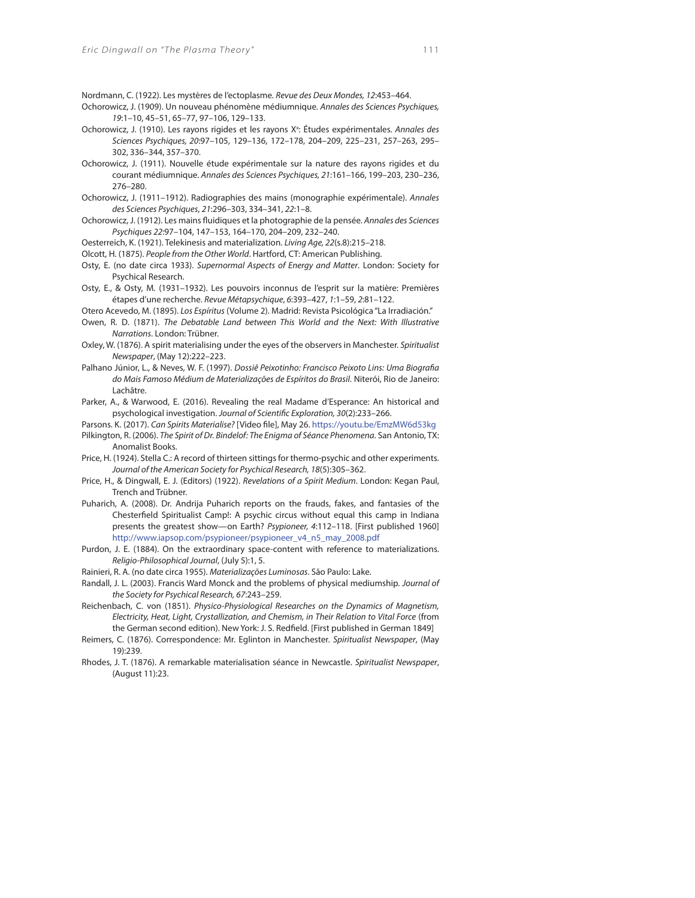Nordmann, C. (1922). Les mystères de l'ectoplasme. Revue des Deux Mondes, 12:453–464.

- Ochorowicz, J. (1909). Un nouveau phénomène médiumnique. Annales des Sciences Psychiques, 19:1–10, 45–51, 65–77, 97–106, 129–133.
- Ochorowicz, J. (1910). Les rayons rigides et les rayons X<sup>x</sup>: Études expérimentales. Annales des Sciences Psychiques, 20:97–105, 129–136, 172–178, 204–209, 225–231, 257–263, 295– 302, 336–344, 357–370.
- Ochorowicz, J. (1911). Nouvelle étude expérimentale sur la nature des rayons rigides et du courant médiumnique. Annales des Sciences Psychiques, 21:161–166, 199–203, 230–236, 276–280.
- Ochorowicz, J. (1911–1912). Radiographies des mains (monographie expérimentale). Annales des Sciences Psychiques, 21:296–303, 334–341, 22:1–8.
- Ochorowicz, J. (1912). Les mains fluidiques et la photographie de la pensée. Annales des Sciences Psychiques 22:97–104, 147–153, 164–170, 204–209, 232–240.
- Oesterreich, K. (1921). Telekinesis and materialization. Living Age, 22(s.8):215–218.
- Olcott, H. (1875). People from the Other World. Hartford, CT: American Publishing.
- Osty, E. (no date circa 1933). Supernormal Aspects of Energy and Matter. London: Society for Psychical Research.
- Osty, E., & Osty, M. (1931–1932). Les pouvoirs inconnus de l'esprit sur la matière: Premières étapes d'une recherche. Revue Métapsychique, 6:393–427, 1:1–59, 2:81–122.
- Otero Acevedo, M. (1895). Los Espíritus (Volume 2). Madrid: Revista Psicológica "La Irradiación."
- Owen, R. D. (1871). The Debatable Land between This World and the Next: With Illustrative Narrations. London: Trübner.
- Oxley, W. (1876). A spirit materialising under the eyes of the observers in Manchester. Spiritualist Newspaper, (May 12):222–223.
- Palhano Júnior, L., & Neves, W. F. (1997). Dossiê Peixotinho: Francisco Peixoto Lins: Uma Biografia do Mais Famoso Médium de Materializações de Espíritos do Brasil. Niterói, Rio de Janeiro: Lachâtre.
- Parker, A., & Warwood, E. (2016). Revealing the real Madame d'Esperance: An historical and psychological investigation. Journal of Scientific Exploration, 30(2):233-266.

Parsons. K. (2017). Can Spirits Materialise? [Video file], May 26. https://youtu.be/EmzMW6d53kg

- Pilkington, R. (2006). The Spirit of Dr. Bindelof: The Enigma of Séance Phenomena. San Antonio, TX: Anomalist Books.
- Price, H. (1924). Stella C.: A record of thirteen sittings for thermo-psychic and other experiments. Journal of the American Society for Psychical Research, 18(5):305–362.
- Price, H., & Dingwall, E. J. (Editors) (1922). Revelations of a Spirit Medium. London: Kegan Paul, Trench and Trübner.
- Puharich, A. (2008). Dr. Andrija Puharich reports on the frauds, fakes, and fantasies of the Chesterfield Spiritualist Camp!: A psychic circus without equal this camp in Indiana presents the greatest show—on Earth? Psypioneer, 4:112–118. [First published 1960] http://www.iapsop.com/psypioneer/psypioneer\_v4\_n5\_may\_2008.pdf
- Purdon, J. E. (1884). On the extraordinary space-content with reference to materializations. Religio-Philosophical Journal, (July 5):1, 5.
- Rainieri, R. A. (no date circa 1955). Materializações Luminosas. São Paulo: Lake.
- Randall, J. L. (2003). Francis Ward Monck and the problems of physical mediumship. Journal of the Society for Psychical Research, 67:243–259.
- Reichenbach, C. von (1851). Physico-Physiological Researches on the Dynamics of Magnetism, Electricity, Heat, Light, Crystallization, and Chemism, in Their Relation to Vital Force (from the German second edition). New York: J. S. Redfield. [First published in German 1849]
- Reimers, C. (1876). Correspondence: Mr. Eglinton in Manchester. Spiritualist Newspaper, (May 19):239.
- Rhodes, J. T. (1876). A remarkable materialisation séance in Newcastle. Spiritualist Newspaper, (August 11):23.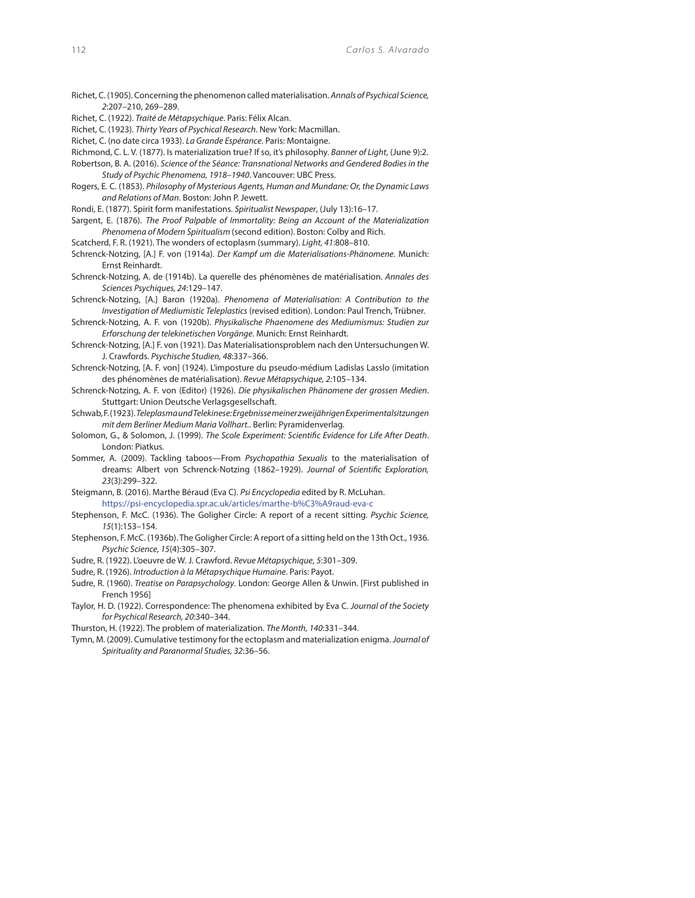- Richet, C. (1905). Concerning the phenomenon called materialisation. Annals of Psychical Science, 2:207–210, 269–289.
- Richet, C. (1922). Traité de Métapsychique. Paris: Félix Alcan.
- Richet, C. (1923). Thirty Years of Psychical Research. New York: Macmillan.
- Richet, C. (no date circa 1933). La Grande Espérance. Paris: Montaigne.
- Richmond, C. L. V. (1877). Is materialization true? If so, it's philosophy. Banner of Light, (June 9):2.
- Robertson, B. A. (2016). Science of the Séance: Transnational Networks and Gendered Bodies in the
- Study of Psychic Phenomena, 1918–1940. Vancouver: UBC Press.
- Rogers, E. C. (1853). Philosophy of Mysterious Agents, Human and Mundane: Or, the Dynamic Laws and Relations of Man. Boston: John P. Jewett.
- Rondi, E. (1877). Spirit form manifestations. Spiritualist Newspaper, (July 13):16–17.
- Sargent, E. (1876). The Proof Palpable of Immortality: Being an Account of the Materialization Phenomena of Modern Spiritualism (second edition). Boston: Colby and Rich.
- Scatcherd, F. R. (1921). The wonders of ectoplasm (summary). Light, 41:808–810.
- Schrenck-Notzing, [A.] F. von (1914a). Der Kampf um die Materialisations-Phänomene. Munich: Ernst Reinhardt.
- Schrenck-Notzing, A. de (1914b). La querelle des phénomènes de matérialisation. Annales des Sciences Psychiques, 24:129–147.
- Schrenck-Notzing, [A.] Baron (1920a). Phenomena of Materialisation: A Contribution to the Investigation of Mediumistic Teleplastics (revised edition). London: Paul Trench, Trübner.
- Schrenck-Notzing, A. F. von (1920b). Physikalische Phaenomene des Mediumismus: Studien zur Erforschung der telekinetischen Vorgänge. Munich: Ernst Reinhardt.
- Schrenck-Notzing, [A.] F. von (1921). Das Materialisationsproblem nach den Untersuchungen W. J. Crawfords. Psychische Studien, 48:337–366.
- Schrenck-Notzing, [A. F. von] (1924). L'imposture du pseudo-médium Ladislas Lasslo (imitation des phénomènes de matérialisation). Revue Métapsychique, 2:105–134.
- Schrenck-Notzing, A. F. von (Editor) (1926). Die physikalischen Phänomene der grossen Medien. Stuttgart: Union Deutsche Verlagsgesellschaft.
- Schwab, F. (1923). Teleplasma und Telekinese: Ergebnisse meiner zweijährigen Experimentalsitzungen mit dem Berliner Medium Maria Vollhart.. Berlin: Pyramidenverlag.
- Solomon, G., & Solomon, J. (1999). The Scole Experiment: Scientific Evidence for Life After Death. London: Piatkus.
- Sommer, A. (2009). Tackling taboos—From Psychopathia Sexualis to the materialisation of dreams: Albert von Schrenck-Notzing (1862-1929). Journal of Scientific Exploration, 23(3):299–322.
- Steigmann, B. (2016). Marthe Béraud (Eva C). Psi Encyclopedia edited by R. McLuhan. https://psi-encyclopedia.spr.ac.uk/articles/marthe-b%C3%A9raud-eva-c
- Stephenson, F. McC. (1936). The Goligher Circle: A report of a recent sitting. Psychic Science, 15(1):153–154.
- Stephenson, F. McC. (1936b). The Goligher Circle: A report of a sitting held on the 13th Oct., 1936. Psychic Science, 15(4):305–307.
- Sudre, R. (1922). L'oeuvre de W. J. Crawford. Revue Métapsychique, 5:301–309.
- Sudre, R. (1926). Introduction à la Métapsychique Humaine. Paris: Payot.
- Sudre, R. (1960). Treatise on Parapsychology. London: George Allen & Unwin. [First published in French 1956]
- Taylor, H. D. (1922). Correspondence: The phenomena exhibited by Eva C. Journal of the Society for Psychical Research, 20:340–344.
- Thurston, H. (1922). The problem of materialization. The Month, 140:331–344.
- Tymn, M. (2009). Cumulative testimony for the ectoplasm and materialization enigma. Journal of Spirituality and Paranormal Studies, 32:36–56.